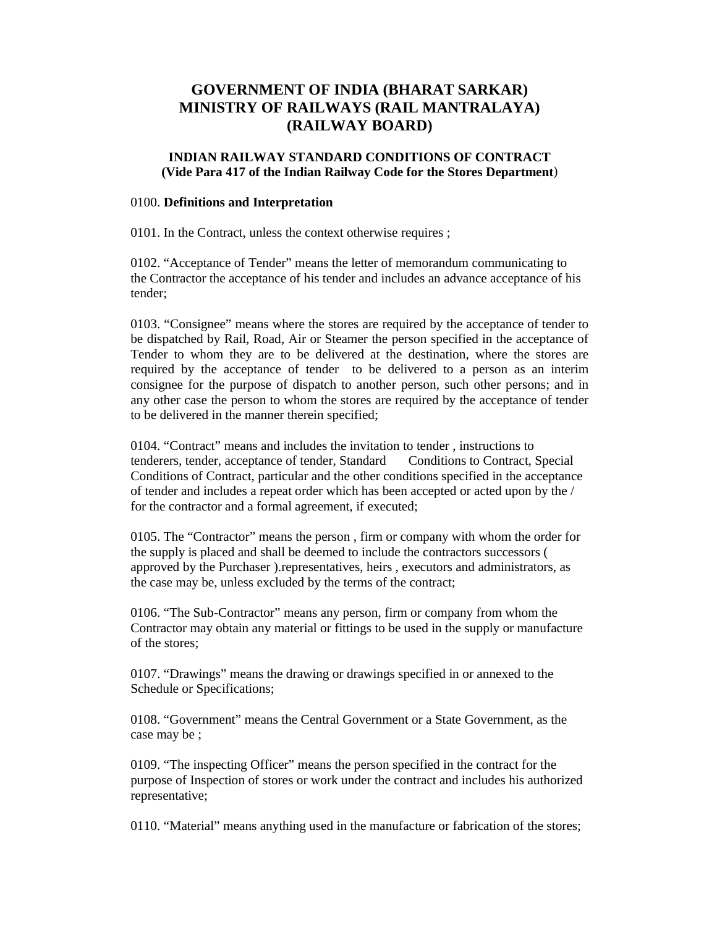# **GOVERNMENT OF INDIA (BHARAT SARKAR) MINISTRY OF RAILWAYS (RAIL MANTRALAYA) (RAILWAY BOARD)**

# **INDIAN RAILWAY STANDARD CONDITIONS OF CONTRACT (Vide Para 417 of the Indian Railway Code for the Stores Department**)

#### 0100. **Definitions and Interpretation**

0101. In the Contract, unless the context otherwise requires ;

0102. "Acceptance of Tender" means the letter of memorandum communicating to the Contractor the acceptance of his tender and includes an advance acceptance of his tender;

0103. "Consignee" means where the stores are required by the acceptance of tender to be dispatched by Rail, Road, Air or Steamer the person specified in the acceptance of Tender to whom they are to be delivered at the destination, where the stores are required by the acceptance of tender to be delivered to a person as an interim consignee for the purpose of dispatch to another person, such other persons; and in any other case the person to whom the stores are required by the acceptance of tender to be delivered in the manner therein specified;

0104. "Contract" means and includes the invitation to tender , instructions to tenderers, tender, acceptance of tender, Standard Conditions to Contract, Special Conditions of Contract, particular and the other conditions specified in the acceptance of tender and includes a repeat order which has been accepted or acted upon by the / for the contractor and a formal agreement, if executed;

0105. The "Contractor" means the person , firm or company with whom the order for the supply is placed and shall be deemed to include the contractors successors ( approved by the Purchaser ).representatives, heirs , executors and administrators, as the case may be, unless excluded by the terms of the contract;

0106. "The Sub-Contractor" means any person, firm or company from whom the Contractor may obtain any material or fittings to be used in the supply or manufacture of the stores;

0107. "Drawings" means the drawing or drawings specified in or annexed to the Schedule or Specifications;

0108. "Government" means the Central Government or a State Government, as the case may be ;

0109. "The inspecting Officer" means the person specified in the contract for the purpose of Inspection of stores or work under the contract and includes his authorized representative;

0110. "Material" means anything used in the manufacture or fabrication of the stores;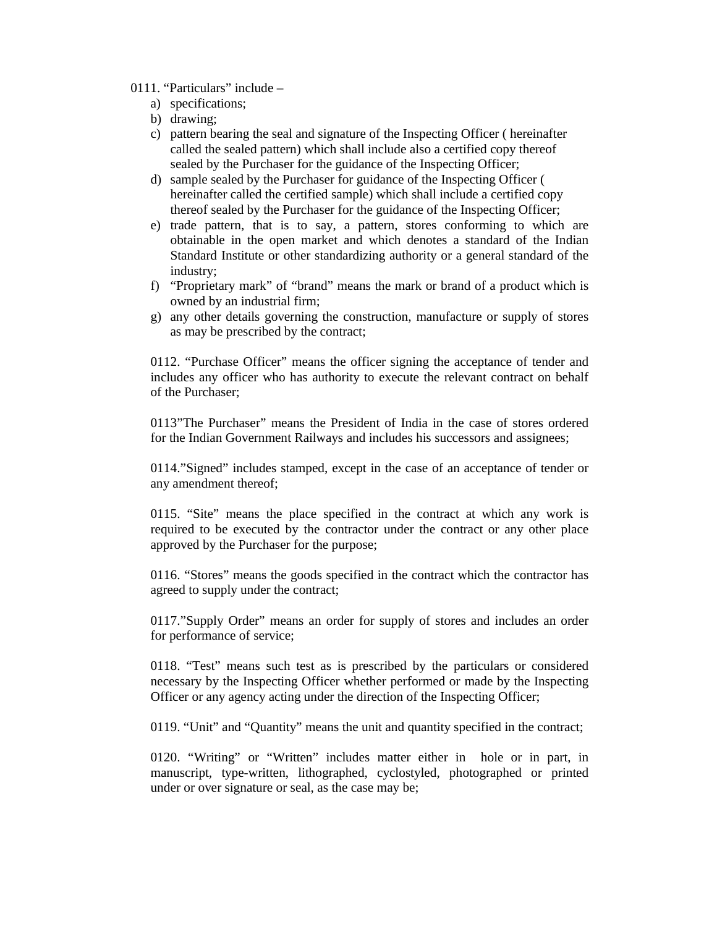- 0111. "Particulars" include
	- a) specifications;
	- b) drawing;
	- c) pattern bearing the seal and signature of the Inspecting Officer ( hereinafter called the sealed pattern) which shall include also a certified copy thereof sealed by the Purchaser for the guidance of the Inspecting Officer;
	- d) sample sealed by the Purchaser for guidance of the Inspecting Officer ( hereinafter called the certified sample) which shall include a certified copy thereof sealed by the Purchaser for the guidance of the Inspecting Officer;
	- e) trade pattern, that is to say, a pattern, stores conforming to which are obtainable in the open market and which denotes a standard of the Indian Standard Institute or other standardizing authority or a general standard of the industry;
	- f) "Proprietary mark" of "brand" means the mark or brand of a product which is owned by an industrial firm;
	- g) any other details governing the construction, manufacture or supply of stores as may be prescribed by the contract;

0112. "Purchase Officer" means the officer signing the acceptance of tender and includes any officer who has authority to execute the relevant contract on behalf of the Purchaser;

0113"The Purchaser" means the President of India in the case of stores ordered for the Indian Government Railways and includes his successors and assignees;

0114."Signed" includes stamped, except in the case of an acceptance of tender or any amendment thereof;

0115. "Site" means the place specified in the contract at which any work is required to be executed by the contractor under the contract or any other place approved by the Purchaser for the purpose;

0116. "Stores" means the goods specified in the contract which the contractor has agreed to supply under the contract;

0117."Supply Order" means an order for supply of stores and includes an order for performance of service;

0118. "Test" means such test as is prescribed by the particulars or considered necessary by the Inspecting Officer whether performed or made by the Inspecting Officer or any agency acting under the direction of the Inspecting Officer;

0119. "Unit" and "Quantity" means the unit and quantity specified in the contract;

0120. "Writing" or "Written" includes matter either in hole or in part, in manuscript, type-written, lithographed, cyclostyled, photographed or printed under or over signature or seal, as the case may be;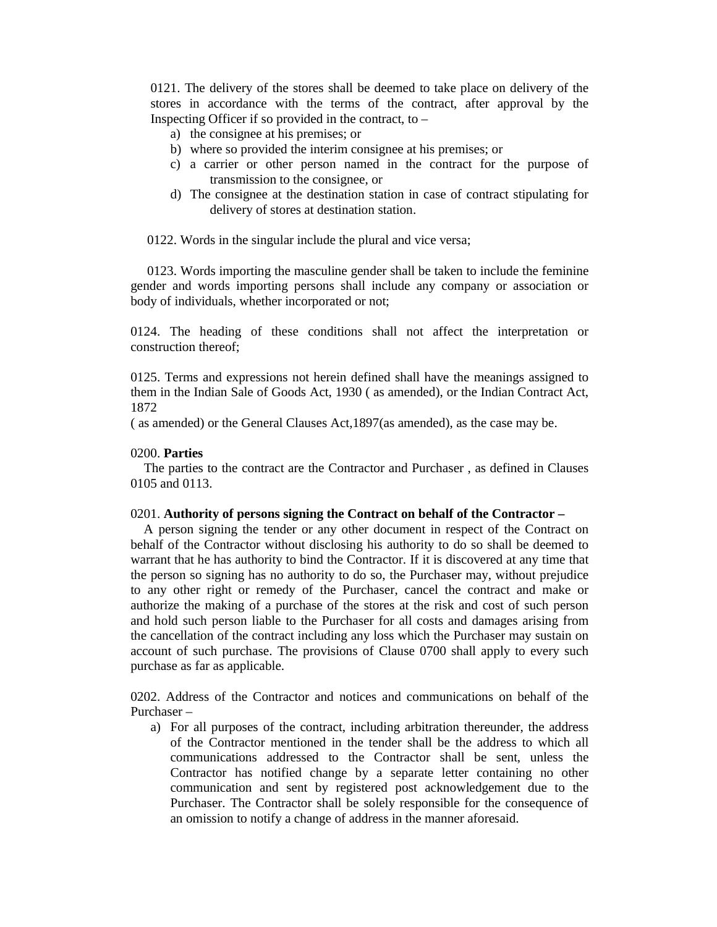0121. The delivery of the stores shall be deemed to take place on delivery of the stores in accordance with the terms of the contract, after approval by the Inspecting Officer if so provided in the contract, to  $-$ 

- a) the consignee at his premises; or
- b) where so provided the interim consignee at his premises; or
- c) a carrier or other person named in the contract for the purpose of transmission to the consignee, or
- d) The consignee at the destination station in case of contract stipulating for delivery of stores at destination station.

0122. Words in the singular include the plural and vice versa;

 0123. Words importing the masculine gender shall be taken to include the feminine gender and words importing persons shall include any company or association or body of individuals, whether incorporated or not;

0124. The heading of these conditions shall not affect the interpretation or construction thereof;

0125. Terms and expressions not herein defined shall have the meanings assigned to them in the Indian Sale of Goods Act, 1930 ( as amended), or the Indian Contract Act, 1872

( as amended) or the General Clauses Act,1897(as amended), as the case may be.

#### 0200. **Parties**

The parties to the contract are the Contractor and Purchaser , as defined in Clauses 0105 and 0113.

### 0201. **Authority of persons signing the Contract on behalf of the Contractor –**

A person signing the tender or any other document in respect of the Contract on behalf of the Contractor without disclosing his authority to do so shall be deemed to warrant that he has authority to bind the Contractor. If it is discovered at any time that the person so signing has no authority to do so, the Purchaser may, without prejudice to any other right or remedy of the Purchaser, cancel the contract and make or authorize the making of a purchase of the stores at the risk and cost of such person and hold such person liable to the Purchaser for all costs and damages arising from the cancellation of the contract including any loss which the Purchaser may sustain on account of such purchase. The provisions of Clause 0700 shall apply to every such purchase as far as applicable.

0202. Address of the Contractor and notices and communications on behalf of the Purchaser –

a) For all purposes of the contract, including arbitration thereunder, the address of the Contractor mentioned in the tender shall be the address to which all communications addressed to the Contractor shall be sent, unless the Contractor has notified change by a separate letter containing no other communication and sent by registered post acknowledgement due to the Purchaser. The Contractor shall be solely responsible for the consequence of an omission to notify a change of address in the manner aforesaid.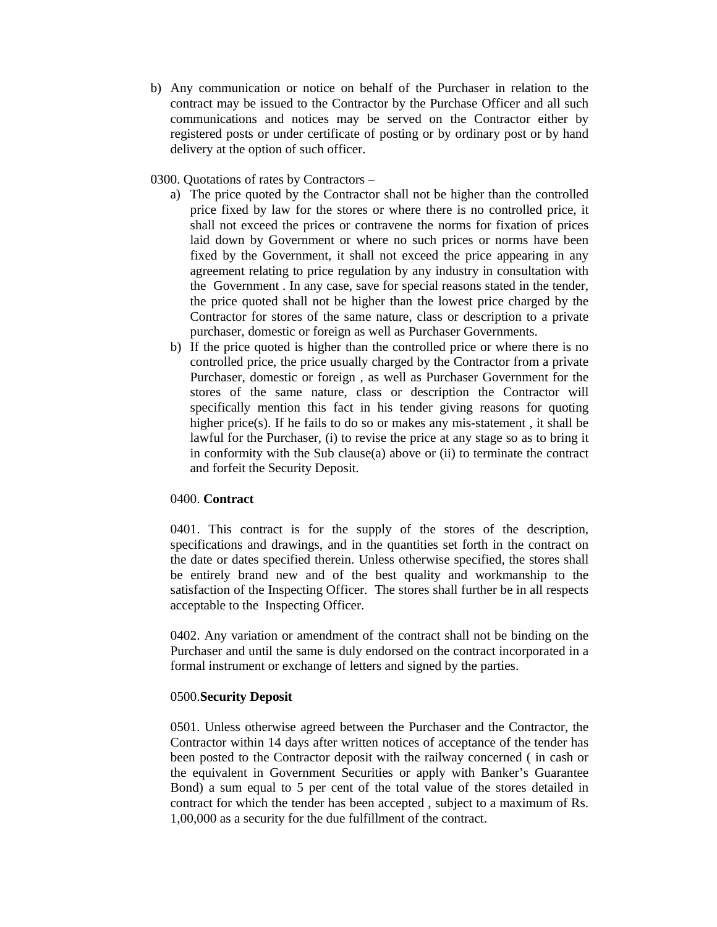- b) Any communication or notice on behalf of the Purchaser in relation to the contract may be issued to the Contractor by the Purchase Officer and all such communications and notices may be served on the Contractor either by registered posts or under certificate of posting or by ordinary post or by hand delivery at the option of such officer.
- 0300. Quotations of rates by Contractors
	- a) The price quoted by the Contractor shall not be higher than the controlled price fixed by law for the stores or where there is no controlled price, it shall not exceed the prices or contravene the norms for fixation of prices laid down by Government or where no such prices or norms have been fixed by the Government, it shall not exceed the price appearing in any agreement relating to price regulation by any industry in consultation with the Government . In any case, save for special reasons stated in the tender, the price quoted shall not be higher than the lowest price charged by the Contractor for stores of the same nature, class or description to a private purchaser, domestic or foreign as well as Purchaser Governments.
	- b) If the price quoted is higher than the controlled price or where there is no controlled price, the price usually charged by the Contractor from a private Purchaser, domestic or foreign , as well as Purchaser Government for the stores of the same nature, class or description the Contractor will specifically mention this fact in his tender giving reasons for quoting higher price(s). If he fails to do so or makes any mis-statement , it shall be lawful for the Purchaser, (i) to revise the price at any stage so as to bring it in conformity with the Sub clause(a) above or (ii) to terminate the contract and forfeit the Security Deposit.

#### 0400. **Contract**

0401. This contract is for the supply of the stores of the description, specifications and drawings, and in the quantities set forth in the contract on the date or dates specified therein. Unless otherwise specified, the stores shall be entirely brand new and of the best quality and workmanship to the satisfaction of the Inspecting Officer. The stores shall further be in all respects acceptable to the Inspecting Officer.

0402. Any variation or amendment of the contract shall not be binding on the Purchaser and until the same is duly endorsed on the contract incorporated in a formal instrument or exchange of letters and signed by the parties.

#### 0500.**Security Deposit**

0501. Unless otherwise agreed between the Purchaser and the Contractor, the Contractor within 14 days after written notices of acceptance of the tender has been posted to the Contractor deposit with the railway concerned ( in cash or the equivalent in Government Securities or apply with Banker's Guarantee Bond) a sum equal to 5 per cent of the total value of the stores detailed in contract for which the tender has been accepted , subject to a maximum of Rs. 1,00,000 as a security for the due fulfillment of the contract.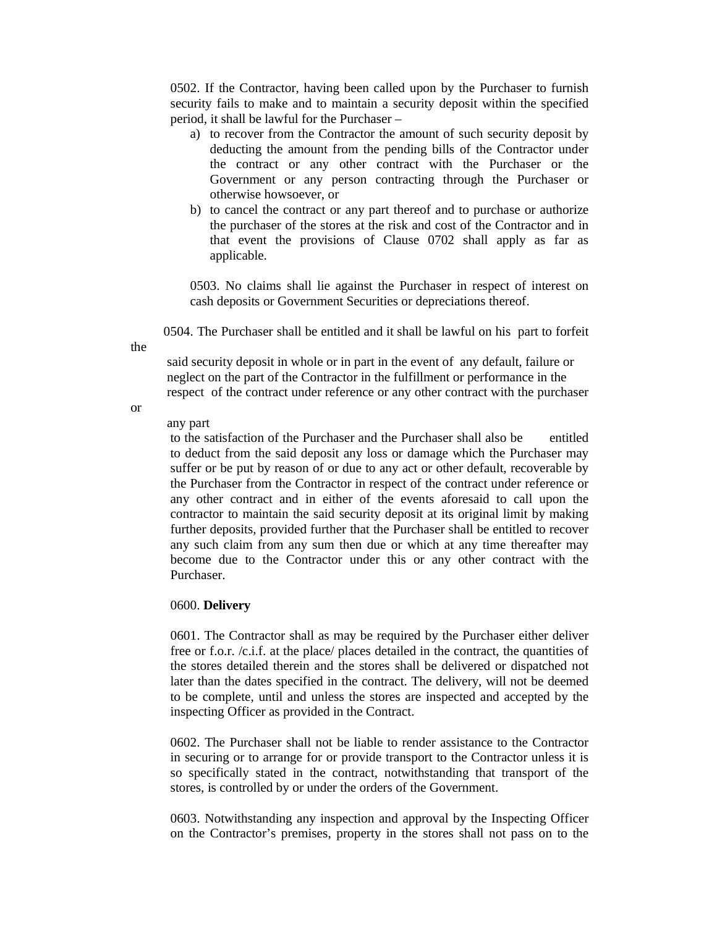0502. If the Contractor, having been called upon by the Purchaser to furnish security fails to make and to maintain a security deposit within the specified period, it shall be lawful for the Purchaser –

- a) to recover from the Contractor the amount of such security deposit by deducting the amount from the pending bills of the Contractor under the contract or any other contract with the Purchaser or the Government or any person contracting through the Purchaser or otherwise howsoever, or
- b) to cancel the contract or any part thereof and to purchase or authorize the purchaser of the stores at the risk and cost of the Contractor and in that event the provisions of Clause 0702 shall apply as far as applicable.

0503. No claims shall lie against the Purchaser in respect of interest on cash deposits or Government Securities or depreciations thereof.

0504. The Purchaser shall be entitled and it shall be lawful on his part to forfeit

the

said security deposit in whole or in part in the event of any default, failure or neglect on the part of the Contractor in the fulfillment or performance in the respect of the contract under reference or any other contract with the purchaser

or

### any part

to the satisfaction of the Purchaser and the Purchaser shall also be entitled to deduct from the said deposit any loss or damage which the Purchaser may suffer or be put by reason of or due to any act or other default, recoverable by the Purchaser from the Contractor in respect of the contract under reference or any other contract and in either of the events aforesaid to call upon the contractor to maintain the said security deposit at its original limit by making further deposits, provided further that the Purchaser shall be entitled to recover any such claim from any sum then due or which at any time thereafter may become due to the Contractor under this or any other contract with the Purchaser.

#### 0600. **Delivery**

0601. The Contractor shall as may be required by the Purchaser either deliver free or f.o.r. /c.i.f. at the place/ places detailed in the contract, the quantities of the stores detailed therein and the stores shall be delivered or dispatched not later than the dates specified in the contract. The delivery, will not be deemed to be complete, until and unless the stores are inspected and accepted by the inspecting Officer as provided in the Contract.

0602. The Purchaser shall not be liable to render assistance to the Contractor in securing or to arrange for or provide transport to the Contractor unless it is so specifically stated in the contract, notwithstanding that transport of the stores, is controlled by or under the orders of the Government.

0603. Notwithstanding any inspection and approval by the Inspecting Officer on the Contractor's premises, property in the stores shall not pass on to the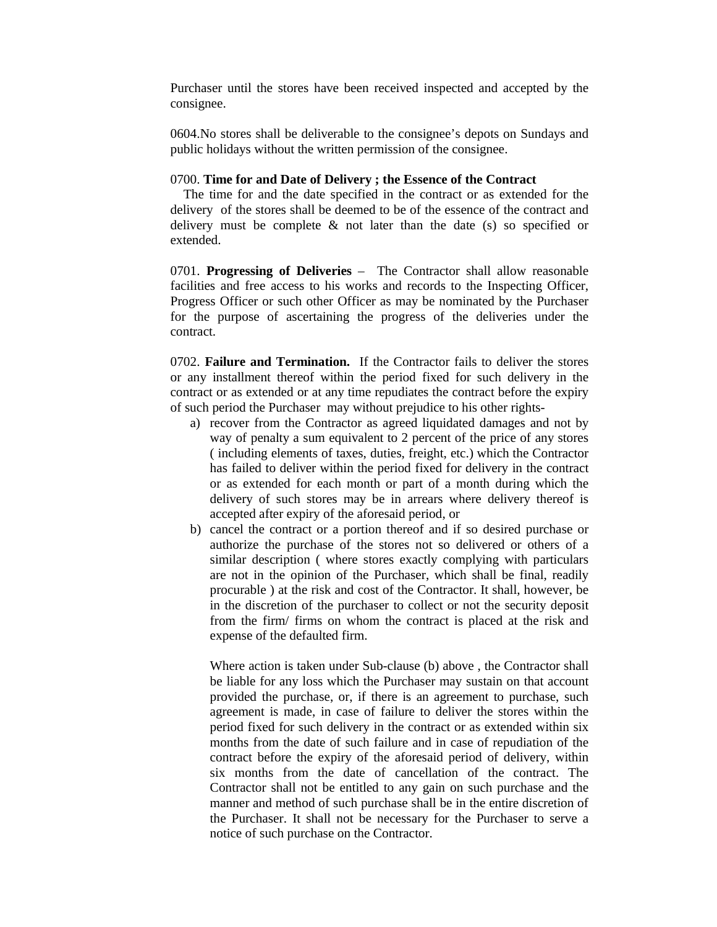Purchaser until the stores have been received inspected and accepted by the consignee.

0604.No stores shall be deliverable to the consignee's depots on Sundays and public holidays without the written permission of the consignee.

#### 0700. **Time for and Date of Delivery ; the Essence of the Contract**

The time for and the date specified in the contract or as extended for the delivery of the stores shall be deemed to be of the essence of the contract and delivery must be complete & not later than the date (s) so specified or extended.

0701. **Progressing of Deliveries** – The Contractor shall allow reasonable facilities and free access to his works and records to the Inspecting Officer, Progress Officer or such other Officer as may be nominated by the Purchaser for the purpose of ascertaining the progress of the deliveries under the contract.

0702. **Failure and Termination.** If the Contractor fails to deliver the stores or any installment thereof within the period fixed for such delivery in the contract or as extended or at any time repudiates the contract before the expiry of such period the Purchaser may without prejudice to his other rights-

- a) recover from the Contractor as agreed liquidated damages and not by way of penalty a sum equivalent to 2 percent of the price of any stores ( including elements of taxes, duties, freight, etc.) which the Contractor has failed to deliver within the period fixed for delivery in the contract or as extended for each month or part of a month during which the delivery of such stores may be in arrears where delivery thereof is accepted after expiry of the aforesaid period, or
- b) cancel the contract or a portion thereof and if so desired purchase or authorize the purchase of the stores not so delivered or others of a similar description ( where stores exactly complying with particulars are not in the opinion of the Purchaser, which shall be final, readily procurable ) at the risk and cost of the Contractor. It shall, however, be in the discretion of the purchaser to collect or not the security deposit from the firm/ firms on whom the contract is placed at the risk and expense of the defaulted firm.

Where action is taken under Sub-clause (b) above , the Contractor shall be liable for any loss which the Purchaser may sustain on that account provided the purchase, or, if there is an agreement to purchase, such agreement is made, in case of failure to deliver the stores within the period fixed for such delivery in the contract or as extended within six months from the date of such failure and in case of repudiation of the contract before the expiry of the aforesaid period of delivery, within six months from the date of cancellation of the contract. The Contractor shall not be entitled to any gain on such purchase and the manner and method of such purchase shall be in the entire discretion of the Purchaser. It shall not be necessary for the Purchaser to serve a notice of such purchase on the Contractor.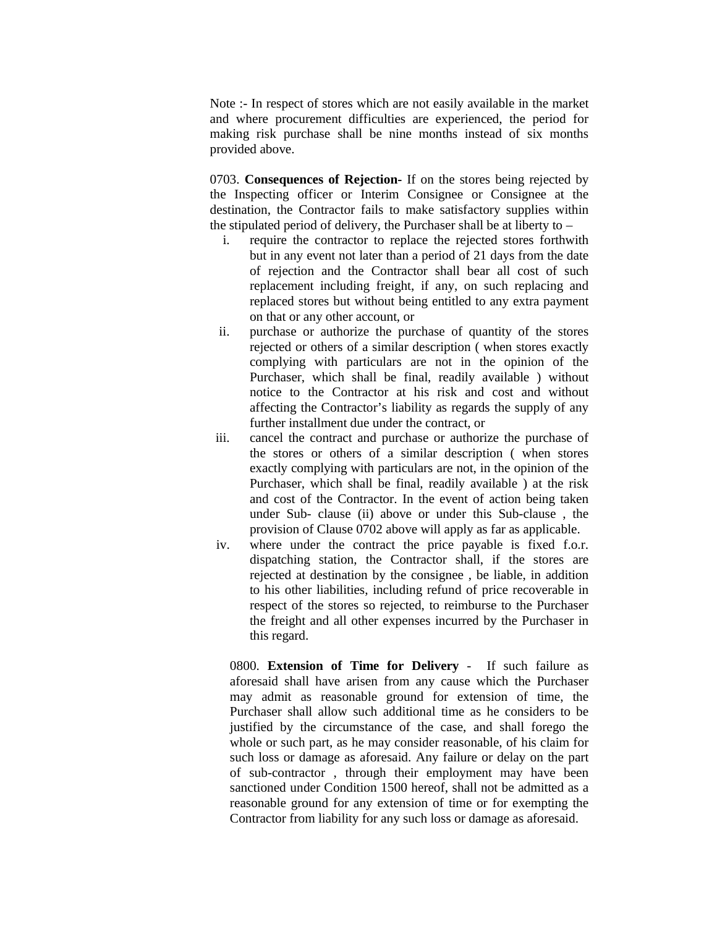Note :- In respect of stores which are not easily available in the market and where procurement difficulties are experienced, the period for making risk purchase shall be nine months instead of six months provided above.

0703. **Consequences of Rejection-** If on the stores being rejected by the Inspecting officer or Interim Consignee or Consignee at the destination, the Contractor fails to make satisfactory supplies within the stipulated period of delivery, the Purchaser shall be at liberty to  $-$ 

- i. require the contractor to replace the rejected stores forthwith but in any event not later than a period of 21 days from the date of rejection and the Contractor shall bear all cost of such replacement including freight, if any, on such replacing and replaced stores but without being entitled to any extra payment on that or any other account, or
- ii. purchase or authorize the purchase of quantity of the stores rejected or others of a similar description ( when stores exactly complying with particulars are not in the opinion of the Purchaser, which shall be final, readily available ) without notice to the Contractor at his risk and cost and without affecting the Contractor's liability as regards the supply of any further installment due under the contract, or
- iii. cancel the contract and purchase or authorize the purchase of the stores or others of a similar description ( when stores exactly complying with particulars are not, in the opinion of the Purchaser, which shall be final, readily available ) at the risk and cost of the Contractor. In the event of action being taken under Sub- clause (ii) above or under this Sub-clause , the provision of Clause 0702 above will apply as far as applicable.
- iv. where under the contract the price payable is fixed f.o.r. dispatching station, the Contractor shall, if the stores are rejected at destination by the consignee , be liable, in addition to his other liabilities, including refund of price recoverable in respect of the stores so rejected, to reimburse to the Purchaser the freight and all other expenses incurred by the Purchaser in this regard.

0800. **Extension of Time for Delivery** - If such failure as aforesaid shall have arisen from any cause which the Purchaser may admit as reasonable ground for extension of time, the Purchaser shall allow such additional time as he considers to be justified by the circumstance of the case, and shall forego the whole or such part, as he may consider reasonable, of his claim for such loss or damage as aforesaid. Any failure or delay on the part of sub-contractor , through their employment may have been sanctioned under Condition 1500 hereof, shall not be admitted as a reasonable ground for any extension of time or for exempting the Contractor from liability for any such loss or damage as aforesaid.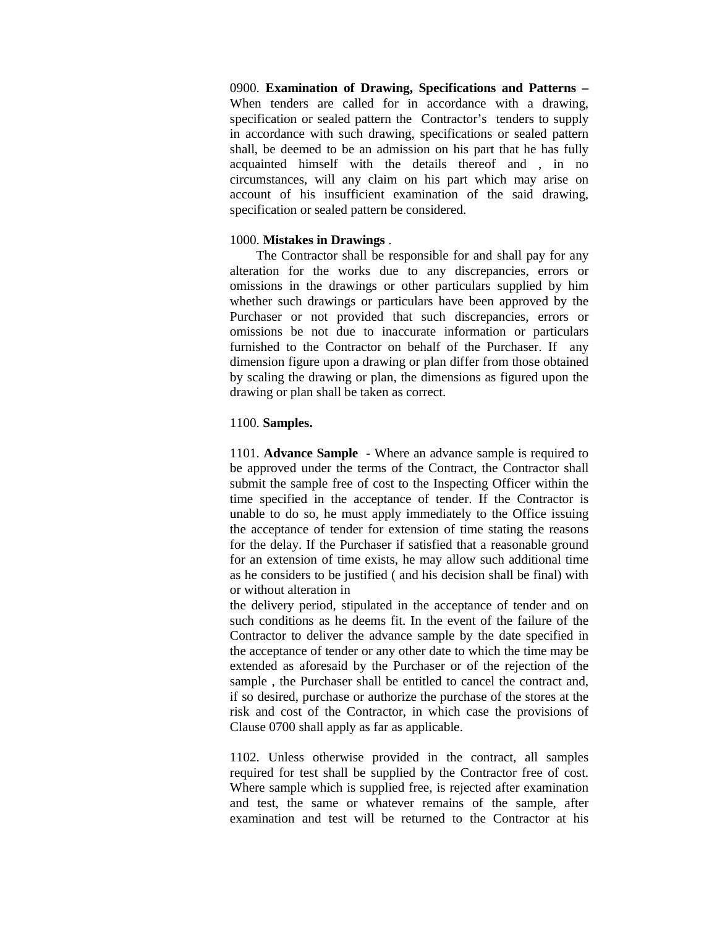0900. **Examination of Drawing, Specifications and Patterns –** When tenders are called for in accordance with a drawing, specification or sealed pattern the Contractor's tenders to supply in accordance with such drawing, specifications or sealed pattern shall, be deemed to be an admission on his part that he has fully acquainted himself with the details thereof and , in no circumstances, will any claim on his part which may arise on account of his insufficient examination of the said drawing, specification or sealed pattern be considered.

#### 1000. **Mistakes in Drawings** .

The Contractor shall be responsible for and shall pay for any alteration for the works due to any discrepancies, errors or omissions in the drawings or other particulars supplied by him whether such drawings or particulars have been approved by the Purchaser or not provided that such discrepancies, errors or omissions be not due to inaccurate information or particulars furnished to the Contractor on behalf of the Purchaser. If any dimension figure upon a drawing or plan differ from those obtained by scaling the drawing or plan, the dimensions as figured upon the drawing or plan shall be taken as correct.

### 1100. **Samples.**

1101. **Advance Sample** - Where an advance sample is required to be approved under the terms of the Contract, the Contractor shall submit the sample free of cost to the Inspecting Officer within the time specified in the acceptance of tender. If the Contractor is unable to do so, he must apply immediately to the Office issuing the acceptance of tender for extension of time stating the reasons for the delay. If the Purchaser if satisfied that a reasonable ground for an extension of time exists, he may allow such additional time as he considers to be justified ( and his decision shall be final) with or without alteration in

the delivery period, stipulated in the acceptance of tender and on such conditions as he deems fit. In the event of the failure of the Contractor to deliver the advance sample by the date specified in the acceptance of tender or any other date to which the time may be extended as aforesaid by the Purchaser or of the rejection of the sample , the Purchaser shall be entitled to cancel the contract and, if so desired, purchase or authorize the purchase of the stores at the risk and cost of the Contractor, in which case the provisions of Clause 0700 shall apply as far as applicable.

1102. Unless otherwise provided in the contract, all samples required for test shall be supplied by the Contractor free of cost. Where sample which is supplied free, is rejected after examination and test, the same or whatever remains of the sample, after examination and test will be returned to the Contractor at his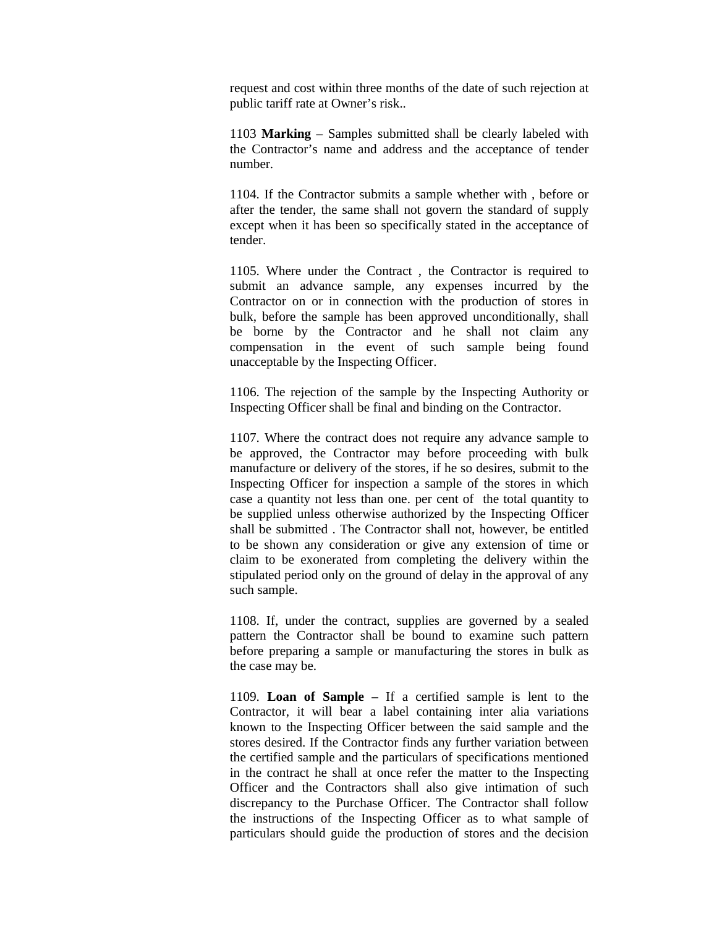request and cost within three months of the date of such rejection at public tariff rate at Owner's risk..

1103 **Marking** – Samples submitted shall be clearly labeled with the Contractor's name and address and the acceptance of tender number.

1104. If the Contractor submits a sample whether with , before or after the tender, the same shall not govern the standard of supply except when it has been so specifically stated in the acceptance of tender.

1105. Where under the Contract , the Contractor is required to submit an advance sample, any expenses incurred by the Contractor on or in connection with the production of stores in bulk, before the sample has been approved unconditionally, shall be borne by the Contractor and he shall not claim any compensation in the event of such sample being found unacceptable by the Inspecting Officer.

1106. The rejection of the sample by the Inspecting Authority or Inspecting Officer shall be final and binding on the Contractor.

1107. Where the contract does not require any advance sample to be approved, the Contractor may before proceeding with bulk manufacture or delivery of the stores, if he so desires, submit to the Inspecting Officer for inspection a sample of the stores in which case a quantity not less than one. per cent of the total quantity to be supplied unless otherwise authorized by the Inspecting Officer shall be submitted . The Contractor shall not, however, be entitled to be shown any consideration or give any extension of time or claim to be exonerated from completing the delivery within the stipulated period only on the ground of delay in the approval of any such sample.

1108. If, under the contract, supplies are governed by a sealed pattern the Contractor shall be bound to examine such pattern before preparing a sample or manufacturing the stores in bulk as the case may be.

1109. **Loan of Sample –** If a certified sample is lent to the Contractor, it will bear a label containing inter alia variations known to the Inspecting Officer between the said sample and the stores desired. If the Contractor finds any further variation between the certified sample and the particulars of specifications mentioned in the contract he shall at once refer the matter to the Inspecting Officer and the Contractors shall also give intimation of such discrepancy to the Purchase Officer. The Contractor shall follow the instructions of the Inspecting Officer as to what sample of particulars should guide the production of stores and the decision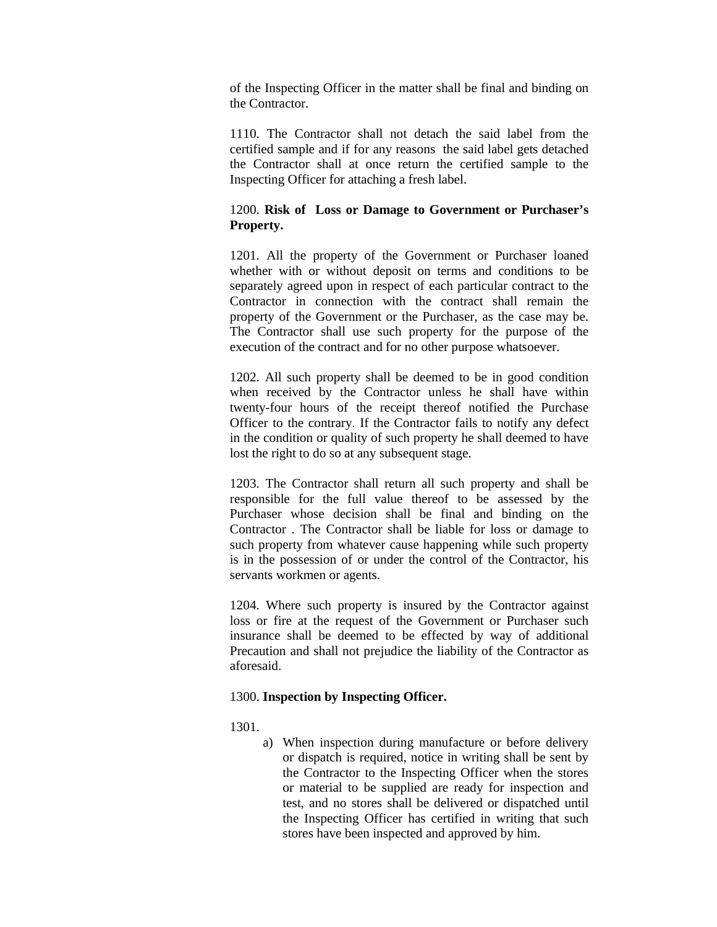of the Inspecting Officer in the matter shall be final and binding on the Contractor.

1110. The Contractor shall not detach the said label from the certified sample and if for any reasons the said label gets detached the Contractor shall at once return the certified sample to the Inspecting Officer for attaching a fresh label.

# 1200. **Risk of Loss or Damage to Government or Purchaser's Property.**

1201. All the property of the Government or Purchaser loaned whether with or without deposit on terms and conditions to be separately agreed upon in respect of each particular contract to the Contractor in connection with the contract shall remain the property of the Government or the Purchaser, as the case may be. The Contractor shall use such property for the purpose of the execution of the contract and for no other purpose whatsoever.

1202. All such property shall be deemed to be in good condition when received by the Contractor unless he shall have within twenty-four hours of the receipt thereof notified the Purchase Officer to the contrary. If the Contractor fails to notify any defect in the condition or quality of such property he shall deemed to have lost the right to do so at any subsequent stage.

1203. The Contractor shall return all such property and shall be responsible for the full value thereof to be assessed by the Purchaser whose decision shall be final and binding on the Contractor . The Contractor shall be liable for loss or damage to such property from whatever cause happening while such property is in the possession of or under the control of the Contractor, his servants workmen or agents.

1204. Where such property is insured by the Contractor against loss or fire at the request of the Government or Purchaser such insurance shall be deemed to be effected by way of additional Precaution and shall not prejudice the liability of the Contractor as aforesaid.

# 1300. **Inspection by Inspecting Officer.**

1301.

a) When inspection during manufacture or before delivery or dispatch is required, notice in writing shall be sent by the Contractor to the Inspecting Officer when the stores or material to be supplied are ready for inspection and test, and no stores shall be delivered or dispatched until the Inspecting Officer has certified in writing that such stores have been inspected and approved by him.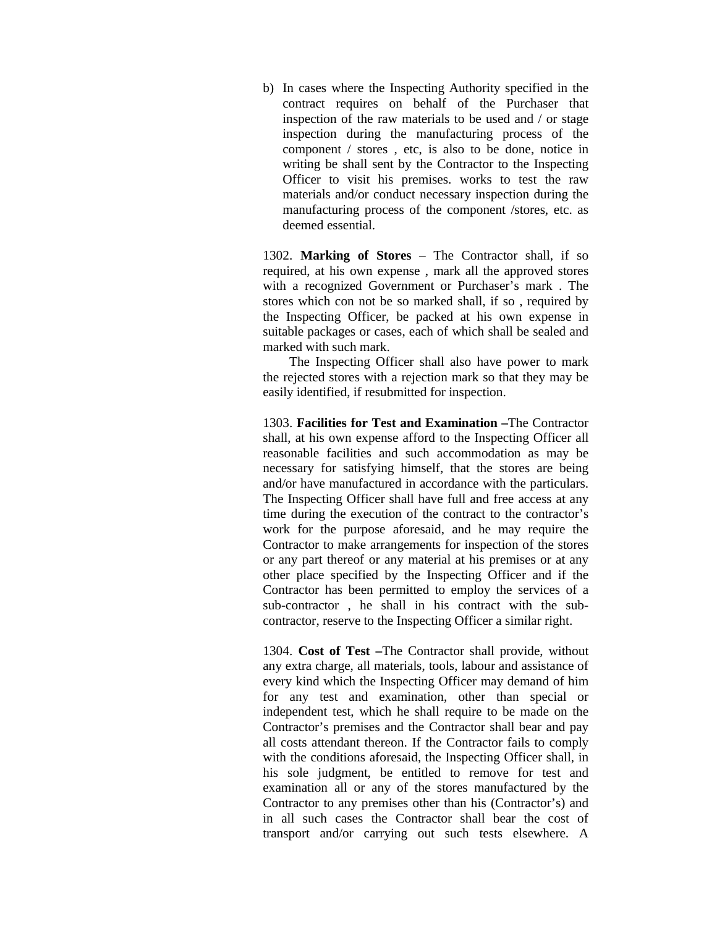b) In cases where the Inspecting Authority specified in the contract requires on behalf of the Purchaser that inspection of the raw materials to be used and / or stage inspection during the manufacturing process of the component / stores , etc, is also to be done, notice in writing be shall sent by the Contractor to the Inspecting Officer to visit his premises. works to test the raw materials and/or conduct necessary inspection during the manufacturing process of the component /stores, etc. as deemed essential.

1302. **Marking of Stores** – The Contractor shall, if so required, at his own expense , mark all the approved stores with a recognized Government or Purchaser's mark . The stores which con not be so marked shall, if so , required by the Inspecting Officer, be packed at his own expense in suitable packages or cases, each of which shall be sealed and marked with such mark.

The Inspecting Officer shall also have power to mark the rejected stores with a rejection mark so that they may be easily identified, if resubmitted for inspection.

1303. **Facilities for Test and Examination –**The Contractor shall, at his own expense afford to the Inspecting Officer all reasonable facilities and such accommodation as may be necessary for satisfying himself, that the stores are being and/or have manufactured in accordance with the particulars. The Inspecting Officer shall have full and free access at any time during the execution of the contract to the contractor's work for the purpose aforesaid, and he may require the Contractor to make arrangements for inspection of the stores or any part thereof or any material at his premises or at any other place specified by the Inspecting Officer and if the Contractor has been permitted to employ the services of a sub-contractor , he shall in his contract with the subcontractor, reserve to the Inspecting Officer a similar right.

1304. **Cost of Test –**The Contractor shall provide, without any extra charge, all materials, tools, labour and assistance of every kind which the Inspecting Officer may demand of him for any test and examination, other than special or independent test, which he shall require to be made on the Contractor's premises and the Contractor shall bear and pay all costs attendant thereon. If the Contractor fails to comply with the conditions aforesaid, the Inspecting Officer shall, in his sole judgment, be entitled to remove for test and examination all or any of the stores manufactured by the Contractor to any premises other than his (Contractor's) and in all such cases the Contractor shall bear the cost of transport and/or carrying out such tests elsewhere. A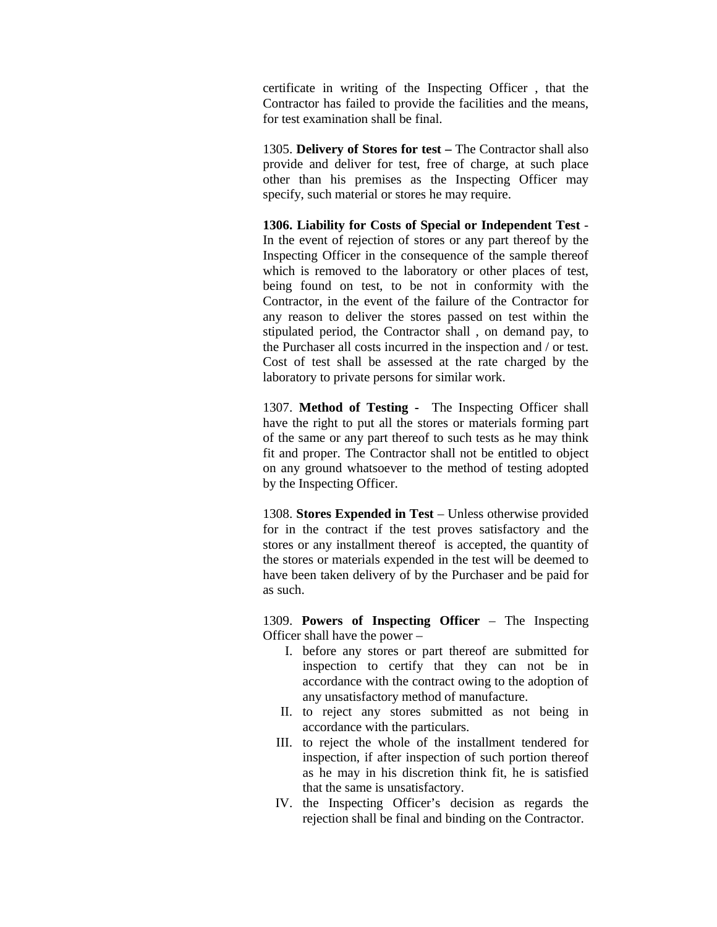certificate in writing of the Inspecting Officer , that the Contractor has failed to provide the facilities and the means, for test examination shall be final.

1305. **Delivery of Stores for test –** The Contractor shall also provide and deliver for test, free of charge, at such place other than his premises as the Inspecting Officer may specify, such material or stores he may require.

**1306. Liability for Costs of Special or Independent Test** - In the event of rejection of stores or any part thereof by the Inspecting Officer in the consequence of the sample thereof which is removed to the laboratory or other places of test, being found on test, to be not in conformity with the Contractor, in the event of the failure of the Contractor for any reason to deliver the stores passed on test within the stipulated period, the Contractor shall , on demand pay, to the Purchaser all costs incurred in the inspection and / or test. Cost of test shall be assessed at the rate charged by the laboratory to private persons for similar work.

1307. **Method of Testing -** The Inspecting Officer shall have the right to put all the stores or materials forming part of the same or any part thereof to such tests as he may think fit and proper. The Contractor shall not be entitled to object on any ground whatsoever to the method of testing adopted by the Inspecting Officer.

1308. **Stores Expended in Test** – Unless otherwise provided for in the contract if the test proves satisfactory and the stores or any installment thereof is accepted, the quantity of the stores or materials expended in the test will be deemed to have been taken delivery of by the Purchaser and be paid for as such.

1309. **Powers of Inspecting Officer** – The Inspecting Officer shall have the power –

- I. before any stores or part thereof are submitted for inspection to certify that they can not be in accordance with the contract owing to the adoption of any unsatisfactory method of manufacture.
- II. to reject any stores submitted as not being in accordance with the particulars.
- III. to reject the whole of the installment tendered for inspection, if after inspection of such portion thereof as he may in his discretion think fit, he is satisfied that the same is unsatisfactory.
- IV. the Inspecting Officer's decision as regards the rejection shall be final and binding on the Contractor.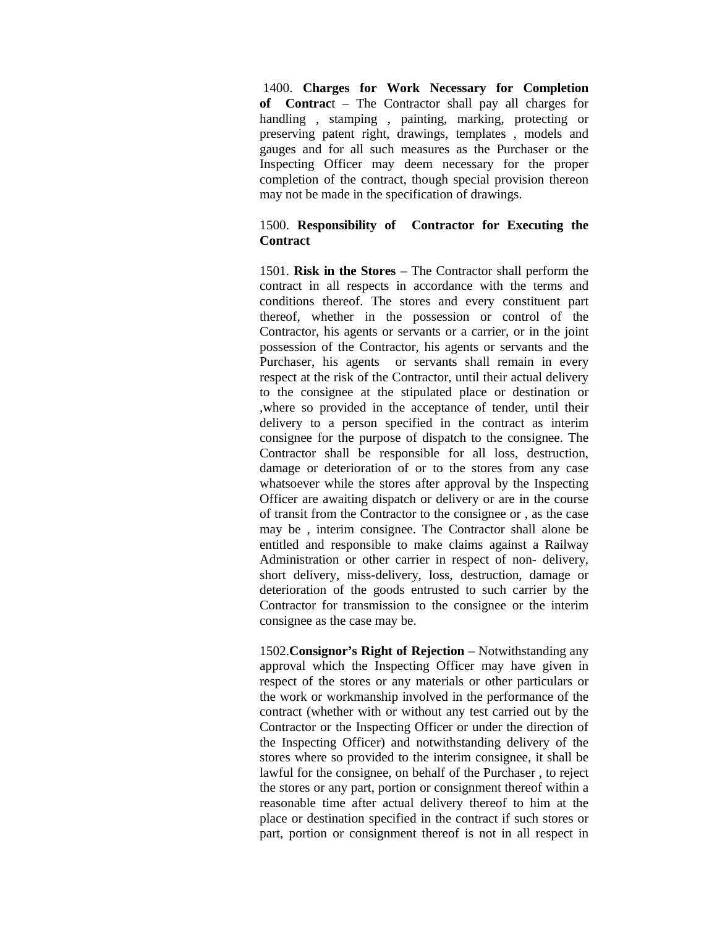1400. **Charges for Work Necessary for Completion of Contrac**t – The Contractor shall pay all charges for handling , stamping , painting, marking, protecting or preserving patent right, drawings, templates , models and gauges and for all such measures as the Purchaser or the Inspecting Officer may deem necessary for the proper completion of the contract, though special provision thereon may not be made in the specification of drawings.

# 1500. **Responsibility of Contractor for Executing the Contract**

1501. **Risk in the Stores** – The Contractor shall perform the contract in all respects in accordance with the terms and conditions thereof. The stores and every constituent part thereof, whether in the possession or control of the Contractor, his agents or servants or a carrier, or in the joint possession of the Contractor, his agents or servants and the Purchaser, his agents or servants shall remain in every respect at the risk of the Contractor, until their actual delivery to the consignee at the stipulated place or destination or ,where so provided in the acceptance of tender, until their delivery to a person specified in the contract as interim consignee for the purpose of dispatch to the consignee. The Contractor shall be responsible for all loss, destruction, damage or deterioration of or to the stores from any case whatsoever while the stores after approval by the Inspecting Officer are awaiting dispatch or delivery or are in the course of transit from the Contractor to the consignee or , as the case may be , interim consignee. The Contractor shall alone be entitled and responsible to make claims against a Railway Administration or other carrier in respect of non- delivery, short delivery, miss-delivery, loss, destruction, damage or deterioration of the goods entrusted to such carrier by the Contractor for transmission to the consignee or the interim consignee as the case may be.

1502.**Consignor's Right of Rejection** – Notwithstanding any approval which the Inspecting Officer may have given in respect of the stores or any materials or other particulars or the work or workmanship involved in the performance of the contract (whether with or without any test carried out by the Contractor or the Inspecting Officer or under the direction of the Inspecting Officer) and notwithstanding delivery of the stores where so provided to the interim consignee, it shall be lawful for the consignee, on behalf of the Purchaser , to reject the stores or any part, portion or consignment thereof within a reasonable time after actual delivery thereof to him at the place or destination specified in the contract if such stores or part, portion or consignment thereof is not in all respect in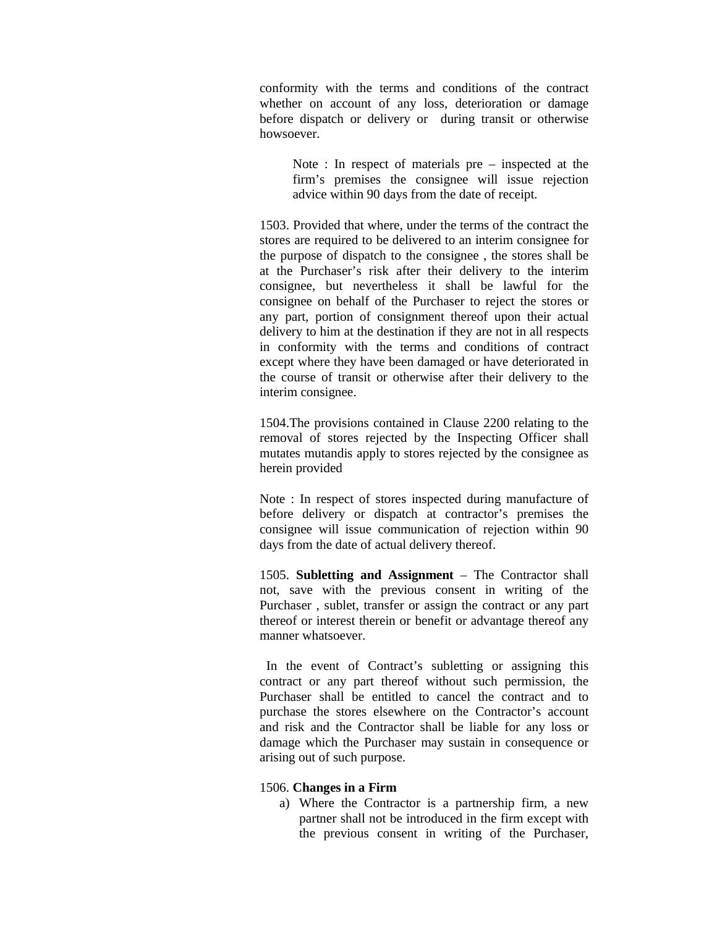conformity with the terms and conditions of the contract whether on account of any loss, deterioration or damage before dispatch or delivery or during transit or otherwise howsoever.

Note : In respect of materials pre – inspected at the firm's premises the consignee will issue rejection advice within 90 days from the date of receipt.

1503. Provided that where, under the terms of the contract the stores are required to be delivered to an interim consignee for the purpose of dispatch to the consignee , the stores shall be at the Purchaser's risk after their delivery to the interim consignee, but nevertheless it shall be lawful for the consignee on behalf of the Purchaser to reject the stores or any part, portion of consignment thereof upon their actual delivery to him at the destination if they are not in all respects in conformity with the terms and conditions of contract except where they have been damaged or have deteriorated in the course of transit or otherwise after their delivery to the interim consignee.

1504.The provisions contained in Clause 2200 relating to the removal of stores rejected by the Inspecting Officer shall mutates mutandis apply to stores rejected by the consignee as herein provided

Note : In respect of stores inspected during manufacture of before delivery or dispatch at contractor's premises the consignee will issue communication of rejection within 90 days from the date of actual delivery thereof.

1505. **Subletting and Assignment** – The Contractor shall not, save with the previous consent in writing of the Purchaser , sublet, transfer or assign the contract or any part thereof or interest therein or benefit or advantage thereof any manner whatsoever.

In the event of Contract's subletting or assigning this contract or any part thereof without such permission, the Purchaser shall be entitled to cancel the contract and to purchase the stores elsewhere on the Contractor's account and risk and the Contractor shall be liable for any loss or damage which the Purchaser may sustain in consequence or arising out of such purpose.

#### 1506. **Changes in a Firm**

a) Where the Contractor is a partnership firm, a new partner shall not be introduced in the firm except with the previous consent in writing of the Purchaser,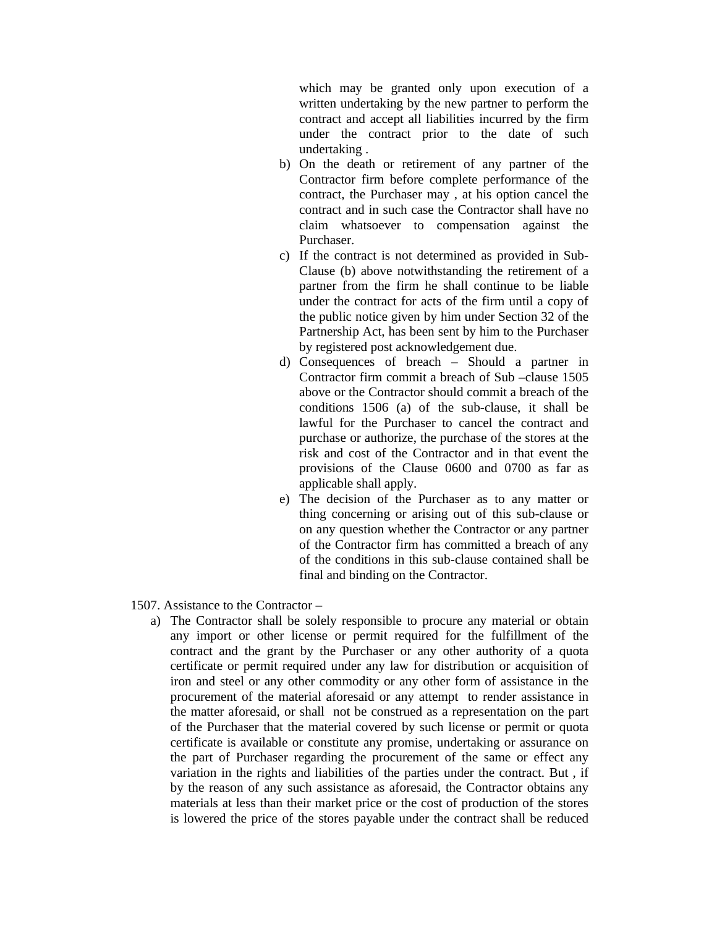which may be granted only upon execution of a written undertaking by the new partner to perform the contract and accept all liabilities incurred by the firm under the contract prior to the date of such undertaking .

- b) On the death or retirement of any partner of the Contractor firm before complete performance of the contract, the Purchaser may , at his option cancel the contract and in such case the Contractor shall have no claim whatsoever to compensation against the Purchaser.
- c) If the contract is not determined as provided in Sub-Clause (b) above notwithstanding the retirement of a partner from the firm he shall continue to be liable under the contract for acts of the firm until a copy of the public notice given by him under Section 32 of the Partnership Act, has been sent by him to the Purchaser by registered post acknowledgement due.
- d) Consequences of breach Should a partner in Contractor firm commit a breach of Sub –clause 1505 above or the Contractor should commit a breach of the conditions 1506 (a) of the sub-clause, it shall be lawful for the Purchaser to cancel the contract and purchase or authorize, the purchase of the stores at the risk and cost of the Contractor and in that event the provisions of the Clause 0600 and 0700 as far as applicable shall apply.
- e) The decision of the Purchaser as to any matter or thing concerning or arising out of this sub-clause or on any question whether the Contractor or any partner of the Contractor firm has committed a breach of any of the conditions in this sub-clause contained shall be final and binding on the Contractor.
- 1507. Assistance to the Contractor
	- a) The Contractor shall be solely responsible to procure any material or obtain any import or other license or permit required for the fulfillment of the contract and the grant by the Purchaser or any other authority of a quota certificate or permit required under any law for distribution or acquisition of iron and steel or any other commodity or any other form of assistance in the procurement of the material aforesaid or any attempt to render assistance in the matter aforesaid, or shall not be construed as a representation on the part of the Purchaser that the material covered by such license or permit or quota certificate is available or constitute any promise, undertaking or assurance on the part of Purchaser regarding the procurement of the same or effect any variation in the rights and liabilities of the parties under the contract. But , if by the reason of any such assistance as aforesaid, the Contractor obtains any materials at less than their market price or the cost of production of the stores is lowered the price of the stores payable under the contract shall be reduced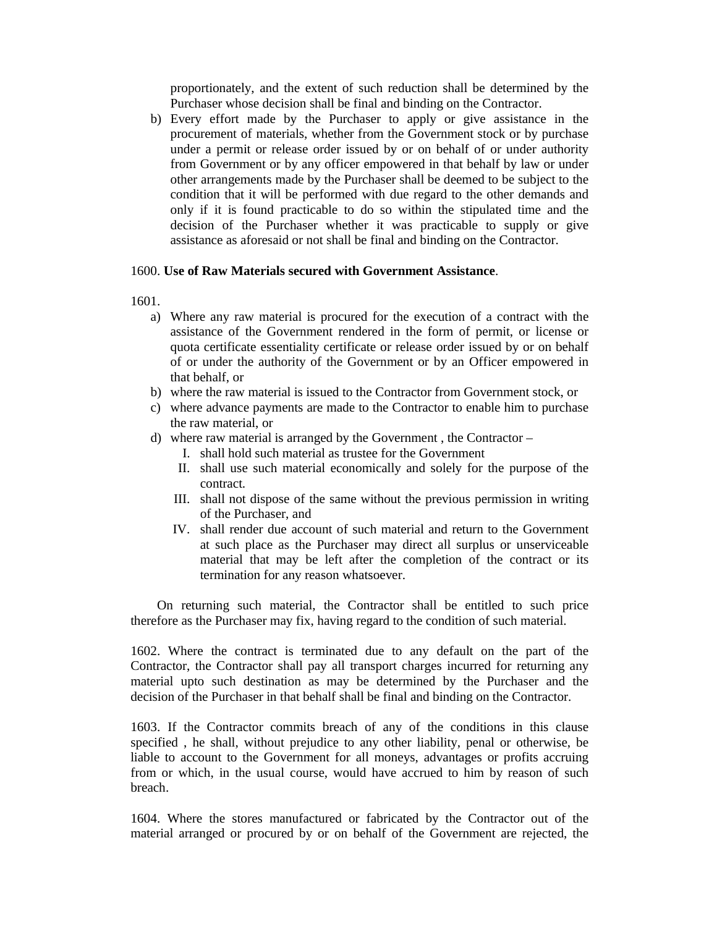proportionately, and the extent of such reduction shall be determined by the Purchaser whose decision shall be final and binding on the Contractor.

b) Every effort made by the Purchaser to apply or give assistance in the procurement of materials, whether from the Government stock or by purchase under a permit or release order issued by or on behalf of or under authority from Government or by any officer empowered in that behalf by law or under other arrangements made by the Purchaser shall be deemed to be subject to the condition that it will be performed with due regard to the other demands and only if it is found practicable to do so within the stipulated time and the decision of the Purchaser whether it was practicable to supply or give assistance as aforesaid or not shall be final and binding on the Contractor.

### 1600. **Use of Raw Materials secured with Government Assistance**.

1601.

- a) Where any raw material is procured for the execution of a contract with the assistance of the Government rendered in the form of permit, or license or quota certificate essentiality certificate or release order issued by or on behalf of or under the authority of the Government or by an Officer empowered in that behalf, or
- b) where the raw material is issued to the Contractor from Government stock, or
- c) where advance payments are made to the Contractor to enable him to purchase the raw material, or
- d) where raw material is arranged by the Government , the Contractor
	- I. shall hold such material as trustee for the Government
	- II. shall use such material economically and solely for the purpose of the contract.
	- III. shall not dispose of the same without the previous permission in writing of the Purchaser, and
	- IV. shall render due account of such material and return to the Government at such place as the Purchaser may direct all surplus or unserviceable material that may be left after the completion of the contract or its termination for any reason whatsoever.

On returning such material, the Contractor shall be entitled to such price therefore as the Purchaser may fix, having regard to the condition of such material.

1602. Where the contract is terminated due to any default on the part of the Contractor, the Contractor shall pay all transport charges incurred for returning any material upto such destination as may be determined by the Purchaser and the decision of the Purchaser in that behalf shall be final and binding on the Contractor.

1603. If the Contractor commits breach of any of the conditions in this clause specified , he shall, without prejudice to any other liability, penal or otherwise, be liable to account to the Government for all moneys, advantages or profits accruing from or which, in the usual course, would have accrued to him by reason of such breach.

1604. Where the stores manufactured or fabricated by the Contractor out of the material arranged or procured by or on behalf of the Government are rejected, the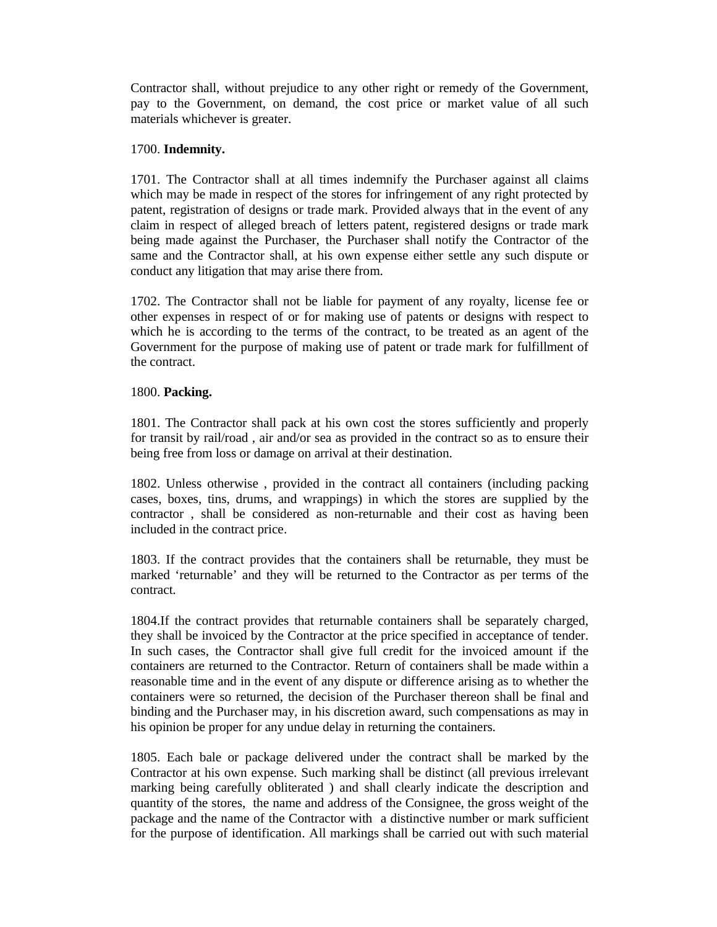Contractor shall, without prejudice to any other right or remedy of the Government, pay to the Government, on demand, the cost price or market value of all such materials whichever is greater.

## 1700. **Indemnity.**

1701. The Contractor shall at all times indemnify the Purchaser against all claims which may be made in respect of the stores for infringement of any right protected by patent, registration of designs or trade mark. Provided always that in the event of any claim in respect of alleged breach of letters patent, registered designs or trade mark being made against the Purchaser, the Purchaser shall notify the Contractor of the same and the Contractor shall, at his own expense either settle any such dispute or conduct any litigation that may arise there from.

1702. The Contractor shall not be liable for payment of any royalty, license fee or other expenses in respect of or for making use of patents or designs with respect to which he is according to the terms of the contract, to be treated as an agent of the Government for the purpose of making use of patent or trade mark for fulfillment of the contract.

### 1800. **Packing.**

1801. The Contractor shall pack at his own cost the stores sufficiently and properly for transit by rail/road , air and/or sea as provided in the contract so as to ensure their being free from loss or damage on arrival at their destination.

1802. Unless otherwise , provided in the contract all containers (including packing cases, boxes, tins, drums, and wrappings) in which the stores are supplied by the contractor , shall be considered as non-returnable and their cost as having been included in the contract price.

1803. If the contract provides that the containers shall be returnable, they must be marked 'returnable' and they will be returned to the Contractor as per terms of the contract.

1804.If the contract provides that returnable containers shall be separately charged, they shall be invoiced by the Contractor at the price specified in acceptance of tender. In such cases, the Contractor shall give full credit for the invoiced amount if the containers are returned to the Contractor. Return of containers shall be made within a reasonable time and in the event of any dispute or difference arising as to whether the containers were so returned, the decision of the Purchaser thereon shall be final and binding and the Purchaser may, in his discretion award, such compensations as may in his opinion be proper for any undue delay in returning the containers.

1805. Each bale or package delivered under the contract shall be marked by the Contractor at his own expense. Such marking shall be distinct (all previous irrelevant marking being carefully obliterated ) and shall clearly indicate the description and quantity of the stores, the name and address of the Consignee, the gross weight of the package and the name of the Contractor with a distinctive number or mark sufficient for the purpose of identification. All markings shall be carried out with such material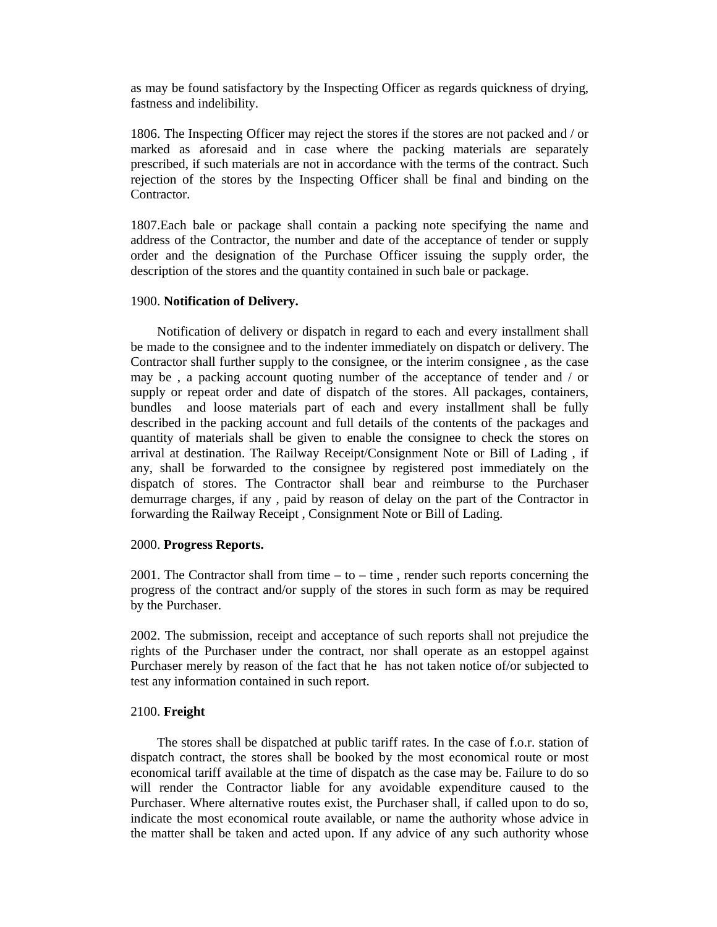as may be found satisfactory by the Inspecting Officer as regards quickness of drying, fastness and indelibility.

1806. The Inspecting Officer may reject the stores if the stores are not packed and / or marked as aforesaid and in case where the packing materials are separately prescribed, if such materials are not in accordance with the terms of the contract. Such rejection of the stores by the Inspecting Officer shall be final and binding on the Contractor.

1807.Each bale or package shall contain a packing note specifying the name and address of the Contractor, the number and date of the acceptance of tender or supply order and the designation of the Purchase Officer issuing the supply order, the description of the stores and the quantity contained in such bale or package.

#### 1900. **Notification of Delivery.**

Notification of delivery or dispatch in regard to each and every installment shall be made to the consignee and to the indenter immediately on dispatch or delivery. The Contractor shall further supply to the consignee, or the interim consignee , as the case may be , a packing account quoting number of the acceptance of tender and / or supply or repeat order and date of dispatch of the stores. All packages, containers, bundles and loose materials part of each and every installment shall be fully described in the packing account and full details of the contents of the packages and quantity of materials shall be given to enable the consignee to check the stores on arrival at destination. The Railway Receipt/Consignment Note or Bill of Lading , if any, shall be forwarded to the consignee by registered post immediately on the dispatch of stores. The Contractor shall bear and reimburse to the Purchaser demurrage charges, if any , paid by reason of delay on the part of the Contractor in forwarding the Railway Receipt , Consignment Note or Bill of Lading.

#### 2000. **Progress Reports.**

2001. The Contractor shall from time  $-$  to  $-$  time, render such reports concerning the progress of the contract and/or supply of the stores in such form as may be required by the Purchaser.

2002. The submission, receipt and acceptance of such reports shall not prejudice the rights of the Purchaser under the contract, nor shall operate as an estoppel against Purchaser merely by reason of the fact that he has not taken notice of/or subjected to test any information contained in such report.

#### 2100. **Freight**

The stores shall be dispatched at public tariff rates. In the case of f.o.r. station of dispatch contract, the stores shall be booked by the most economical route or most economical tariff available at the time of dispatch as the case may be. Failure to do so will render the Contractor liable for any avoidable expenditure caused to the Purchaser. Where alternative routes exist, the Purchaser shall, if called upon to do so, indicate the most economical route available, or name the authority whose advice in the matter shall be taken and acted upon. If any advice of any such authority whose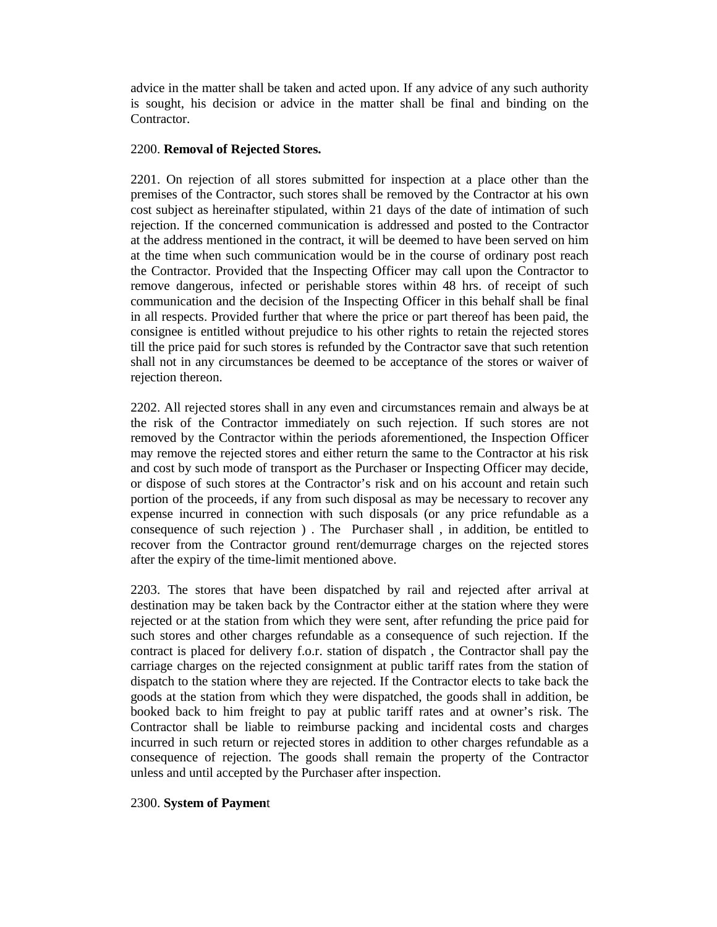advice in the matter shall be taken and acted upon. If any advice of any such authority is sought, his decision or advice in the matter shall be final and binding on the Contractor.

### 2200. **Removal of Rejected Stores.**

2201. On rejection of all stores submitted for inspection at a place other than the premises of the Contractor, such stores shall be removed by the Contractor at his own cost subject as hereinafter stipulated, within 21 days of the date of intimation of such rejection. If the concerned communication is addressed and posted to the Contractor at the address mentioned in the contract, it will be deemed to have been served on him at the time when such communication would be in the course of ordinary post reach the Contractor. Provided that the Inspecting Officer may call upon the Contractor to remove dangerous, infected or perishable stores within 48 hrs. of receipt of such communication and the decision of the Inspecting Officer in this behalf shall be final in all respects. Provided further that where the price or part thereof has been paid, the consignee is entitled without prejudice to his other rights to retain the rejected stores till the price paid for such stores is refunded by the Contractor save that such retention shall not in any circumstances be deemed to be acceptance of the stores or waiver of rejection thereon.

2202. All rejected stores shall in any even and circumstances remain and always be at the risk of the Contractor immediately on such rejection. If such stores are not removed by the Contractor within the periods aforementioned, the Inspection Officer may remove the rejected stores and either return the same to the Contractor at his risk and cost by such mode of transport as the Purchaser or Inspecting Officer may decide, or dispose of such stores at the Contractor's risk and on his account and retain such portion of the proceeds, if any from such disposal as may be necessary to recover any expense incurred in connection with such disposals (or any price refundable as a consequence of such rejection ) . The Purchaser shall , in addition, be entitled to recover from the Contractor ground rent/demurrage charges on the rejected stores after the expiry of the time-limit mentioned above.

2203. The stores that have been dispatched by rail and rejected after arrival at destination may be taken back by the Contractor either at the station where they were rejected or at the station from which they were sent, after refunding the price paid for such stores and other charges refundable as a consequence of such rejection. If the contract is placed for delivery f.o.r. station of dispatch , the Contractor shall pay the carriage charges on the rejected consignment at public tariff rates from the station of dispatch to the station where they are rejected. If the Contractor elects to take back the goods at the station from which they were dispatched, the goods shall in addition, be booked back to him freight to pay at public tariff rates and at owner's risk. The Contractor shall be liable to reimburse packing and incidental costs and charges incurred in such return or rejected stores in addition to other charges refundable as a consequence of rejection. The goods shall remain the property of the Contractor unless and until accepted by the Purchaser after inspection.

#### 2300. **System of Paymen**t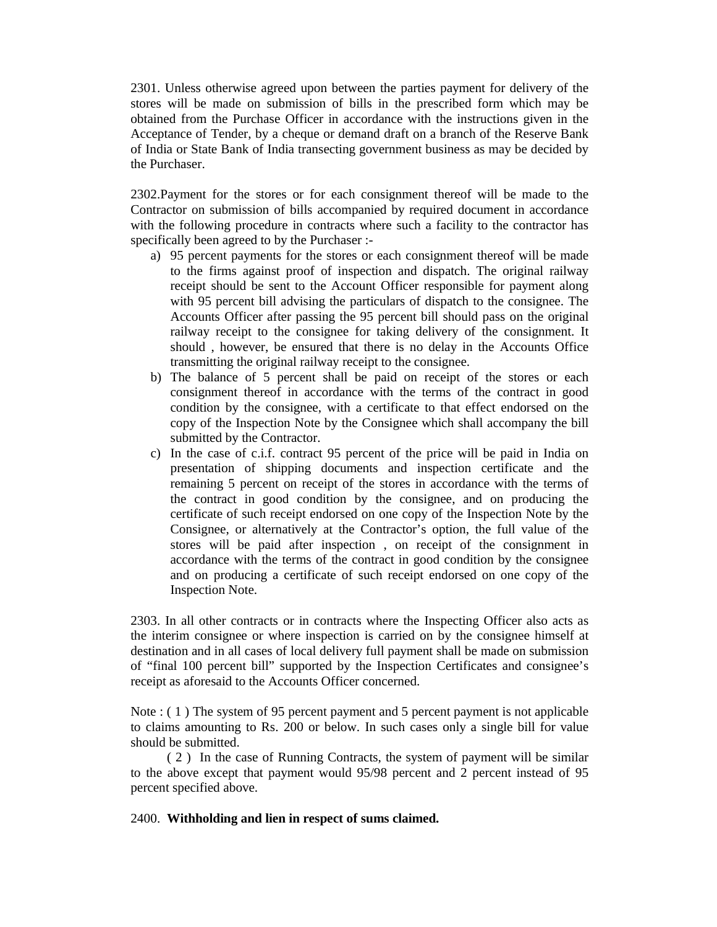2301. Unless otherwise agreed upon between the parties payment for delivery of the stores will be made on submission of bills in the prescribed form which may be obtained from the Purchase Officer in accordance with the instructions given in the Acceptance of Tender, by a cheque or demand draft on a branch of the Reserve Bank of India or State Bank of India transecting government business as may be decided by the Purchaser.

2302.Payment for the stores or for each consignment thereof will be made to the Contractor on submission of bills accompanied by required document in accordance with the following procedure in contracts where such a facility to the contractor has specifically been agreed to by the Purchaser :-

- a) 95 percent payments for the stores or each consignment thereof will be made to the firms against proof of inspection and dispatch. The original railway receipt should be sent to the Account Officer responsible for payment along with 95 percent bill advising the particulars of dispatch to the consignee. The Accounts Officer after passing the 95 percent bill should pass on the original railway receipt to the consignee for taking delivery of the consignment. It should , however, be ensured that there is no delay in the Accounts Office transmitting the original railway receipt to the consignee.
- b) The balance of 5 percent shall be paid on receipt of the stores or each consignment thereof in accordance with the terms of the contract in good condition by the consignee, with a certificate to that effect endorsed on the copy of the Inspection Note by the Consignee which shall accompany the bill submitted by the Contractor.
- c) In the case of c.i.f. contract 95 percent of the price will be paid in India on presentation of shipping documents and inspection certificate and the remaining 5 percent on receipt of the stores in accordance with the terms of the contract in good condition by the consignee, and on producing the certificate of such receipt endorsed on one copy of the Inspection Note by the Consignee, or alternatively at the Contractor's option, the full value of the stores will be paid after inspection , on receipt of the consignment in accordance with the terms of the contract in good condition by the consignee and on producing a certificate of such receipt endorsed on one copy of the Inspection Note.

2303. In all other contracts or in contracts where the Inspecting Officer also acts as the interim consignee or where inspection is carried on by the consignee himself at destination and in all cases of local delivery full payment shall be made on submission of "final 100 percent bill" supported by the Inspection Certificates and consignee's receipt as aforesaid to the Accounts Officer concerned.

Note : ( 1 ) The system of 95 percent payment and 5 percent payment is not applicable to claims amounting to Rs. 200 or below. In such cases only a single bill for value should be submitted.

( 2 ) In the case of Running Contracts, the system of payment will be similar to the above except that payment would 95/98 percent and 2 percent instead of 95 percent specified above.

#### 2400. **Withholding and lien in respect of sums claimed.**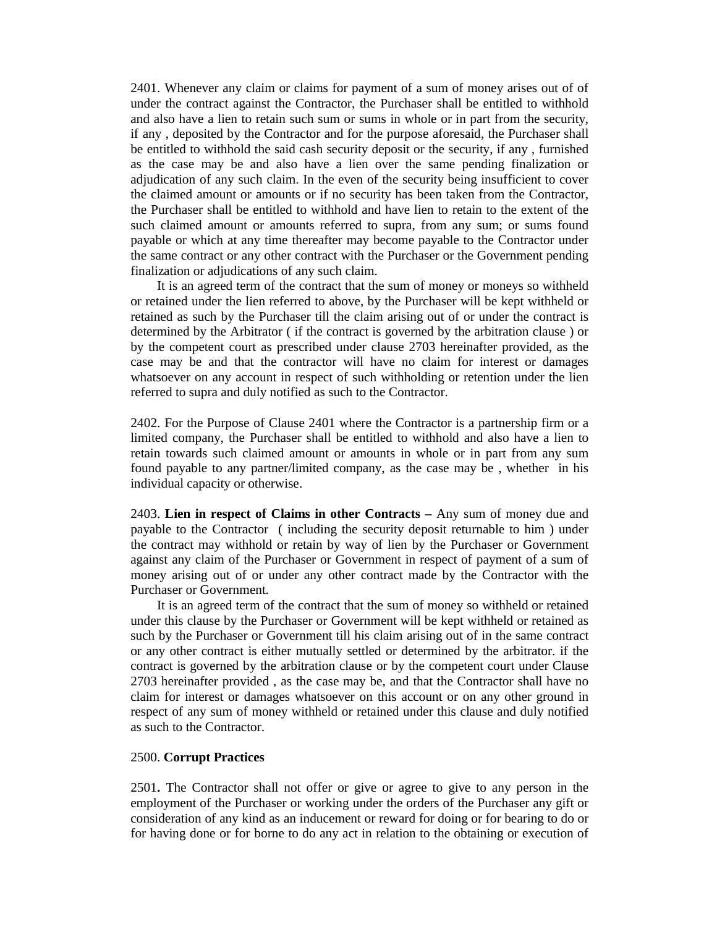2401. Whenever any claim or claims for payment of a sum of money arises out of of under the contract against the Contractor, the Purchaser shall be entitled to withhold and also have a lien to retain such sum or sums in whole or in part from the security, if any , deposited by the Contractor and for the purpose aforesaid, the Purchaser shall be entitled to withhold the said cash security deposit or the security, if any , furnished as the case may be and also have a lien over the same pending finalization or adjudication of any such claim. In the even of the security being insufficient to cover the claimed amount or amounts or if no security has been taken from the Contractor, the Purchaser shall be entitled to withhold and have lien to retain to the extent of the such claimed amount or amounts referred to supra, from any sum; or sums found payable or which at any time thereafter may become payable to the Contractor under the same contract or any other contract with the Purchaser or the Government pending finalization or adjudications of any such claim.

It is an agreed term of the contract that the sum of money or moneys so withheld or retained under the lien referred to above, by the Purchaser will be kept withheld or retained as such by the Purchaser till the claim arising out of or under the contract is determined by the Arbitrator ( if the contract is governed by the arbitration clause ) or by the competent court as prescribed under clause 2703 hereinafter provided, as the case may be and that the contractor will have no claim for interest or damages whatsoever on any account in respect of such withholding or retention under the lien referred to supra and duly notified as such to the Contractor.

2402. For the Purpose of Clause 2401 where the Contractor is a partnership firm or a limited company, the Purchaser shall be entitled to withhold and also have a lien to retain towards such claimed amount or amounts in whole or in part from any sum found payable to any partner/limited company, as the case may be , whether in his individual capacity or otherwise.

2403. **Lien in respect of Claims in other Contracts –** Any sum of money due and payable to the Contractor ( including the security deposit returnable to him ) under the contract may withhold or retain by way of lien by the Purchaser or Government against any claim of the Purchaser or Government in respect of payment of a sum of money arising out of or under any other contract made by the Contractor with the Purchaser or Government.

It is an agreed term of the contract that the sum of money so withheld or retained under this clause by the Purchaser or Government will be kept withheld or retained as such by the Purchaser or Government till his claim arising out of in the same contract or any other contract is either mutually settled or determined by the arbitrator. if the contract is governed by the arbitration clause or by the competent court under Clause 2703 hereinafter provided , as the case may be, and that the Contractor shall have no claim for interest or damages whatsoever on this account or on any other ground in respect of any sum of money withheld or retained under this clause and duly notified as such to the Contractor.

#### 2500. **Corrupt Practices**

2501**.** The Contractor shall not offer or give or agree to give to any person in the employment of the Purchaser or working under the orders of the Purchaser any gift or consideration of any kind as an inducement or reward for doing or for bearing to do or for having done or for borne to do any act in relation to the obtaining or execution of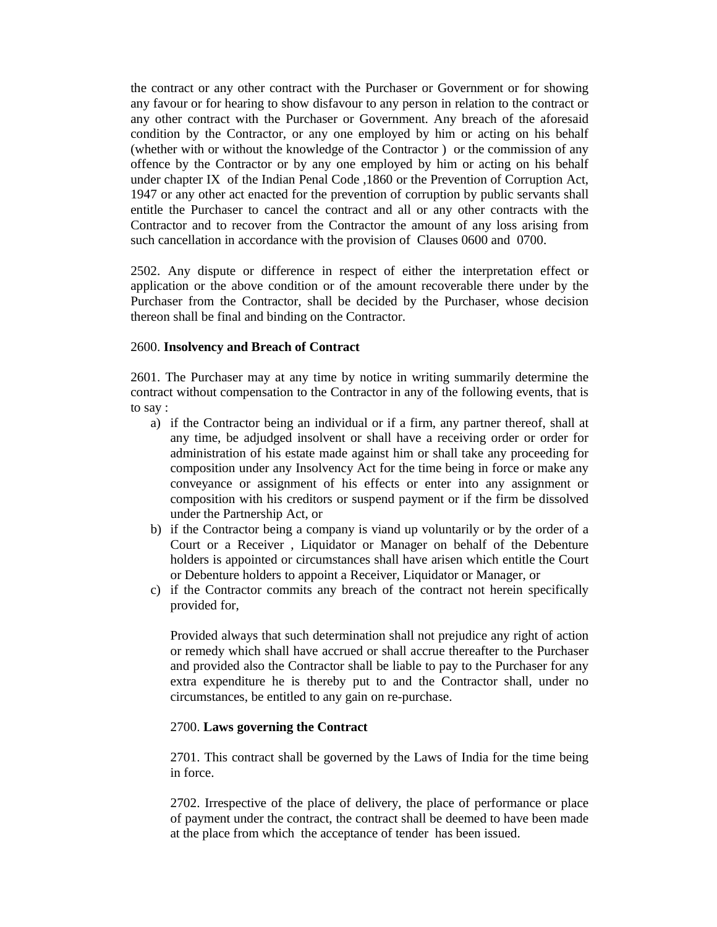the contract or any other contract with the Purchaser or Government or for showing any favour or for hearing to show disfavour to any person in relation to the contract or any other contract with the Purchaser or Government. Any breach of the aforesaid condition by the Contractor, or any one employed by him or acting on his behalf (whether with or without the knowledge of the Contractor ) or the commission of any offence by the Contractor or by any one employed by him or acting on his behalf under chapter IX of the Indian Penal Code ,1860 or the Prevention of Corruption Act, 1947 or any other act enacted for the prevention of corruption by public servants shall entitle the Purchaser to cancel the contract and all or any other contracts with the Contractor and to recover from the Contractor the amount of any loss arising from such cancellation in accordance with the provision of Clauses 0600 and 0700.

2502. Any dispute or difference in respect of either the interpretation effect or application or the above condition or of the amount recoverable there under by the Purchaser from the Contractor, shall be decided by the Purchaser, whose decision thereon shall be final and binding on the Contractor.

## 2600. **Insolvency and Breach of Contract**

2601. The Purchaser may at any time by notice in writing summarily determine the contract without compensation to the Contractor in any of the following events, that is to say :

- a) if the Contractor being an individual or if a firm, any partner thereof, shall at any time, be adjudged insolvent or shall have a receiving order or order for administration of his estate made against him or shall take any proceeding for composition under any Insolvency Act for the time being in force or make any conveyance or assignment of his effects or enter into any assignment or composition with his creditors or suspend payment or if the firm be dissolved under the Partnership Act, or
- b) if the Contractor being a company is viand up voluntarily or by the order of a Court or a Receiver , Liquidator or Manager on behalf of the Debenture holders is appointed or circumstances shall have arisen which entitle the Court or Debenture holders to appoint a Receiver, Liquidator or Manager, or
- c) if the Contractor commits any breach of the contract not herein specifically provided for,

Provided always that such determination shall not prejudice any right of action or remedy which shall have accrued or shall accrue thereafter to the Purchaser and provided also the Contractor shall be liable to pay to the Purchaser for any extra expenditure he is thereby put to and the Contractor shall, under no circumstances, be entitled to any gain on re-purchase.

# 2700. **Laws governing the Contract**

2701. This contract shall be governed by the Laws of India for the time being in force.

2702. Irrespective of the place of delivery, the place of performance or place of payment under the contract, the contract shall be deemed to have been made at the place from which the acceptance of tender has been issued.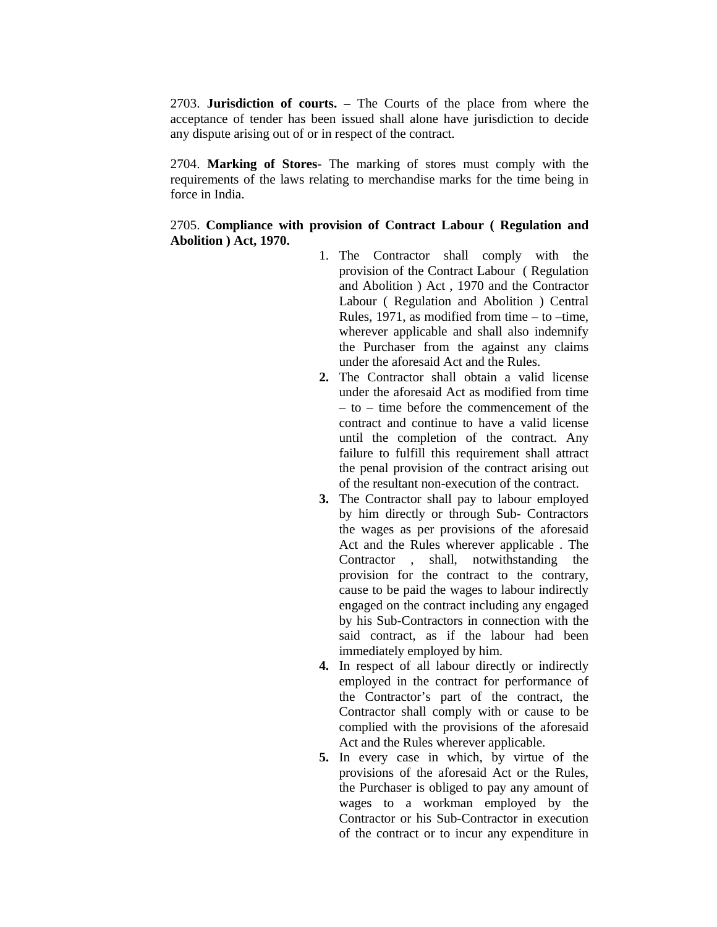2703. **Jurisdiction of courts. –** The Courts of the place from where the acceptance of tender has been issued shall alone have jurisdiction to decide any dispute arising out of or in respect of the contract.

2704. **Marking of Stores**- The marking of stores must comply with the requirements of the laws relating to merchandise marks for the time being in force in India.

2705. **Compliance with provision of Contract Labour ( Regulation and Abolition ) Act, 1970.**

- 1. The Contractor shall comply with the provision of the Contract Labour ( Regulation and Abolition ) Act , 1970 and the Contractor Labour ( Regulation and Abolition ) Central Rules, 1971, as modified from time  $-$  to  $-$ time, wherever applicable and shall also indemnify the Purchaser from the against any claims under the aforesaid Act and the Rules.
- **2.** The Contractor shall obtain a valid license under the aforesaid Act as modified from time – to – time before the commencement of the contract and continue to have a valid license until the completion of the contract. Any failure to fulfill this requirement shall attract the penal provision of the contract arising out of the resultant non-execution of the contract.
- **3.** The Contractor shall pay to labour employed by him directly or through Sub- Contractors the wages as per provisions of the aforesaid Act and the Rules wherever applicable . The Contractor , shall, notwithstanding the provision for the contract to the contrary, cause to be paid the wages to labour indirectly engaged on the contract including any engaged by his Sub-Contractors in connection with the said contract, as if the labour had been immediately employed by him.
- **4.** In respect of all labour directly or indirectly employed in the contract for performance of the Contractor's part of the contract, the Contractor shall comply with or cause to be complied with the provisions of the aforesaid Act and the Rules wherever applicable.
- **5.** In every case in which, by virtue of the provisions of the aforesaid Act or the Rules, the Purchaser is obliged to pay any amount of wages to a workman employed by the Contractor or his Sub-Contractor in execution of the contract or to incur any expenditure in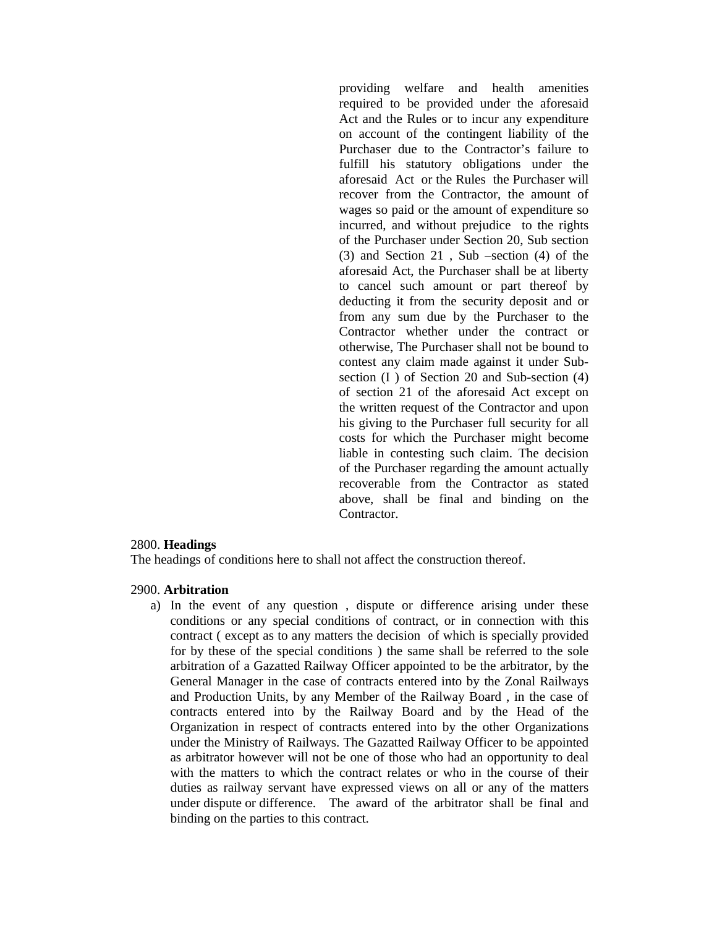providing welfare and health amenities required to be provided under the aforesaid Act and the Rules or to incur any expenditure on account of the contingent liability of the Purchaser due to the Contractor's failure to fulfill his statutory obligations under the aforesaid Act or the Rules the Purchaser will recover from the Contractor, the amount of wages so paid or the amount of expenditure so incurred, and without prejudice to the rights of the Purchaser under Section 20, Sub section (3) and Section 21 , Sub –section (4) of the aforesaid Act, the Purchaser shall be at liberty to cancel such amount or part thereof by deducting it from the security deposit and or from any sum due by the Purchaser to the Contractor whether under the contract or otherwise, The Purchaser shall not be bound to contest any claim made against it under Subsection (I ) of Section 20 and Sub-section (4) of section 21 of the aforesaid Act except on the written request of the Contractor and upon his giving to the Purchaser full security for all costs for which the Purchaser might become liable in contesting such claim. The decision of the Purchaser regarding the amount actually recoverable from the Contractor as stated above, shall be final and binding on the Contractor.

#### 2800. **Headings**

The headings of conditions here to shall not affect the construction thereof.

#### 2900. **Arbitration**

a) In the event of any question , dispute or difference arising under these conditions or any special conditions of contract, or in connection with this contract ( except as to any matters the decision of which is specially provided for by these of the special conditions ) the same shall be referred to the sole arbitration of a Gazatted Railway Officer appointed to be the arbitrator, by the General Manager in the case of contracts entered into by the Zonal Railways and Production Units, by any Member of the Railway Board , in the case of contracts entered into by the Railway Board and by the Head of the Organization in respect of contracts entered into by the other Organizations under the Ministry of Railways. The Gazatted Railway Officer to be appointed as arbitrator however will not be one of those who had an opportunity to deal with the matters to which the contract relates or who in the course of their duties as railway servant have expressed views on all or any of the matters under dispute or difference. The award of the arbitrator shall be final and binding on the parties to this contract.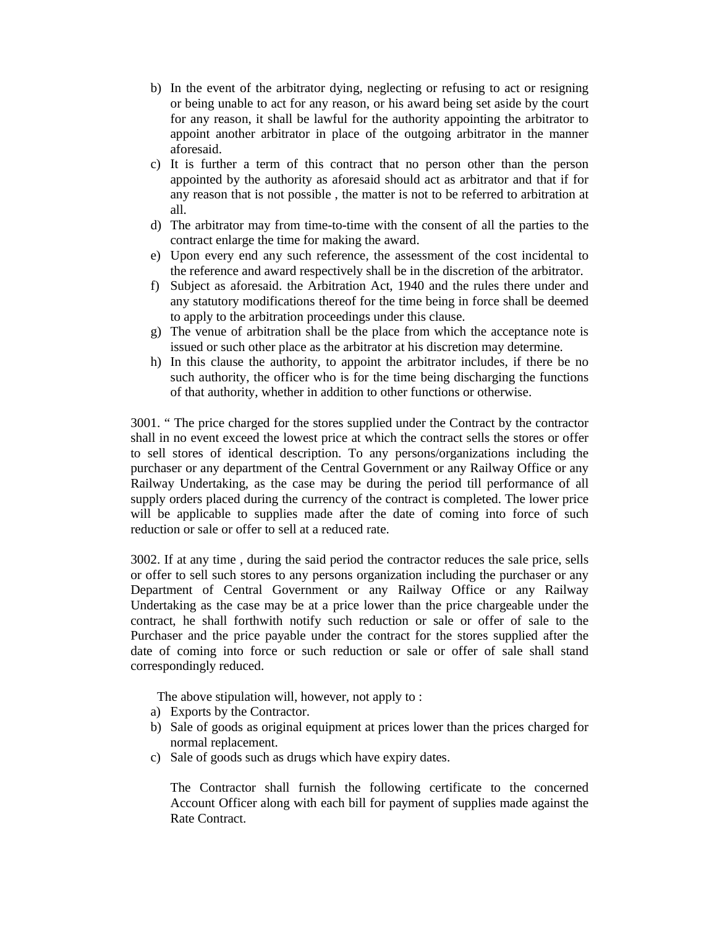- b) In the event of the arbitrator dying, neglecting or refusing to act or resigning or being unable to act for any reason, or his award being set aside by the court for any reason, it shall be lawful for the authority appointing the arbitrator to appoint another arbitrator in place of the outgoing arbitrator in the manner aforesaid.
- c) It is further a term of this contract that no person other than the person appointed by the authority as aforesaid should act as arbitrator and that if for any reason that is not possible , the matter is not to be referred to arbitration at all.
- d) The arbitrator may from time-to-time with the consent of all the parties to the contract enlarge the time for making the award.
- e) Upon every end any such reference, the assessment of the cost incidental to the reference and award respectively shall be in the discretion of the arbitrator.
- f) Subject as aforesaid. the Arbitration Act, 1940 and the rules there under and any statutory modifications thereof for the time being in force shall be deemed to apply to the arbitration proceedings under this clause.
- g) The venue of arbitration shall be the place from which the acceptance note is issued or such other place as the arbitrator at his discretion may determine.
- h) In this clause the authority, to appoint the arbitrator includes, if there be no such authority, the officer who is for the time being discharging the functions of that authority, whether in addition to other functions or otherwise.

3001. " The price charged for the stores supplied under the Contract by the contractor shall in no event exceed the lowest price at which the contract sells the stores or offer to sell stores of identical description. To any persons/organizations including the purchaser or any department of the Central Government or any Railway Office or any Railway Undertaking, as the case may be during the period till performance of all supply orders placed during the currency of the contract is completed. The lower price will be applicable to supplies made after the date of coming into force of such reduction or sale or offer to sell at a reduced rate.

3002. If at any time , during the said period the contractor reduces the sale price, sells or offer to sell such stores to any persons organization including the purchaser or any Department of Central Government or any Railway Office or any Railway Undertaking as the case may be at a price lower than the price chargeable under the contract, he shall forthwith notify such reduction or sale or offer of sale to the Purchaser and the price payable under the contract for the stores supplied after the date of coming into force or such reduction or sale or offer of sale shall stand correspondingly reduced.

The above stipulation will, however, not apply to :

- a) Exports by the Contractor.
- b) Sale of goods as original equipment at prices lower than the prices charged for normal replacement.
- c) Sale of goods such as drugs which have expiry dates.

The Contractor shall furnish the following certificate to the concerned Account Officer along with each bill for payment of supplies made against the Rate Contract.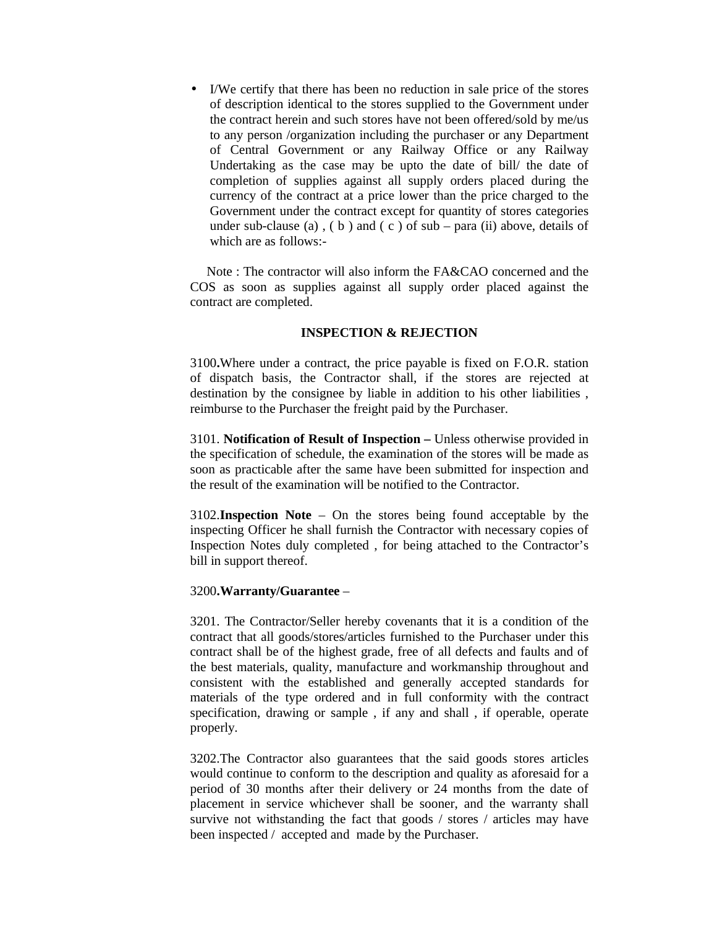• I/We certify that there has been no reduction in sale price of the stores of description identical to the stores supplied to the Government under the contract herein and such stores have not been offered/sold by me/us to any person /organization including the purchaser or any Department of Central Government or any Railway Office or any Railway Undertaking as the case may be upto the date of bill/ the date of completion of supplies against all supply orders placed during the currency of the contract at a price lower than the price charged to the Government under the contract except for quantity of stores categories under sub-clause (a),  $(b)$  and  $(c)$  of sub – para (ii) above, details of which are as follows:-

Note : The contractor will also inform the FA&CAO concerned and the COS as soon as supplies against all supply order placed against the contract are completed.

#### **INSPECTION & REJECTION**

3100**.**Where under a contract, the price payable is fixed on F.O.R. station of dispatch basis, the Contractor shall, if the stores are rejected at destination by the consignee by liable in addition to his other liabilities , reimburse to the Purchaser the freight paid by the Purchaser.

3101. **Notification of Result of Inspection –** Unless otherwise provided in the specification of schedule, the examination of the stores will be made as soon as practicable after the same have been submitted for inspection and the result of the examination will be notified to the Contractor.

3102.**Inspection Note** – On the stores being found acceptable by the inspecting Officer he shall furnish the Contractor with necessary copies of Inspection Notes duly completed , for being attached to the Contractor's bill in support thereof.

#### 3200**.Warranty/Guarantee** –

3201. The Contractor/Seller hereby covenants that it is a condition of the contract that all goods/stores/articles furnished to the Purchaser under this contract shall be of the highest grade, free of all defects and faults and of the best materials, quality, manufacture and workmanship throughout and consistent with the established and generally accepted standards for materials of the type ordered and in full conformity with the contract specification, drawing or sample , if any and shall , if operable, operate properly.

3202.The Contractor also guarantees that the said goods stores articles would continue to conform to the description and quality as aforesaid for a period of 30 months after their delivery or 24 months from the date of placement in service whichever shall be sooner, and the warranty shall survive not withstanding the fact that goods / stores / articles may have been inspected / accepted and made by the Purchaser.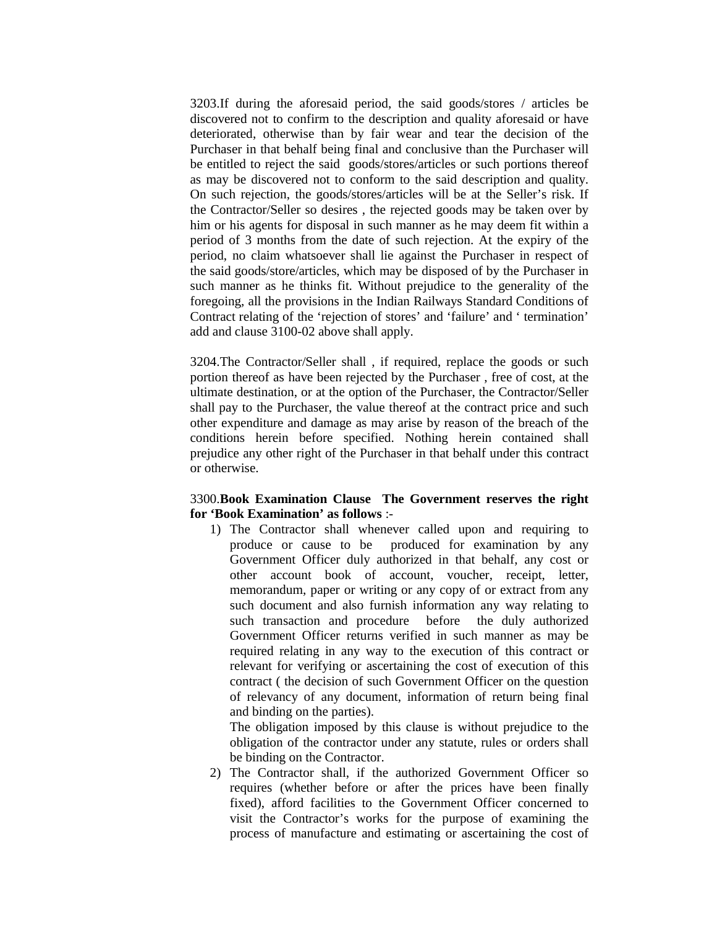3203.If during the aforesaid period, the said goods/stores / articles be discovered not to confirm to the description and quality aforesaid or have deteriorated, otherwise than by fair wear and tear the decision of the Purchaser in that behalf being final and conclusive than the Purchaser will be entitled to reject the said goods/stores/articles or such portions thereof as may be discovered not to conform to the said description and quality. On such rejection, the goods/stores/articles will be at the Seller's risk. If the Contractor/Seller so desires , the rejected goods may be taken over by him or his agents for disposal in such manner as he may deem fit within a period of 3 months from the date of such rejection. At the expiry of the period, no claim whatsoever shall lie against the Purchaser in respect of the said goods/store/articles, which may be disposed of by the Purchaser in such manner as he thinks fit. Without prejudice to the generality of the foregoing, all the provisions in the Indian Railways Standard Conditions of Contract relating of the 'rejection of stores' and 'failure' and ' termination' add and clause 3100-02 above shall apply.

3204.The Contractor/Seller shall , if required, replace the goods or such portion thereof as have been rejected by the Purchaser , free of cost, at the ultimate destination, or at the option of the Purchaser, the Contractor/Seller shall pay to the Purchaser, the value thereof at the contract price and such other expenditure and damage as may arise by reason of the breach of the conditions herein before specified. Nothing herein contained shall prejudice any other right of the Purchaser in that behalf under this contract or otherwise.

# 3300.**Book Examination Clause The Government reserves the right for 'Book Examination' as follows** :-

1) The Contractor shall whenever called upon and requiring to produce or cause to be produced for examination by any Government Officer duly authorized in that behalf, any cost or other account book of account, voucher, receipt, letter, memorandum, paper or writing or any copy of or extract from any such document and also furnish information any way relating to such transaction and procedure before the duly authorized Government Officer returns verified in such manner as may be required relating in any way to the execution of this contract or relevant for verifying or ascertaining the cost of execution of this contract ( the decision of such Government Officer on the question of relevancy of any document, information of return being final and binding on the parties).

The obligation imposed by this clause is without prejudice to the obligation of the contractor under any statute, rules or orders shall be binding on the Contractor.

2) The Contractor shall, if the authorized Government Officer so requires (whether before or after the prices have been finally fixed), afford facilities to the Government Officer concerned to visit the Contractor's works for the purpose of examining the process of manufacture and estimating or ascertaining the cost of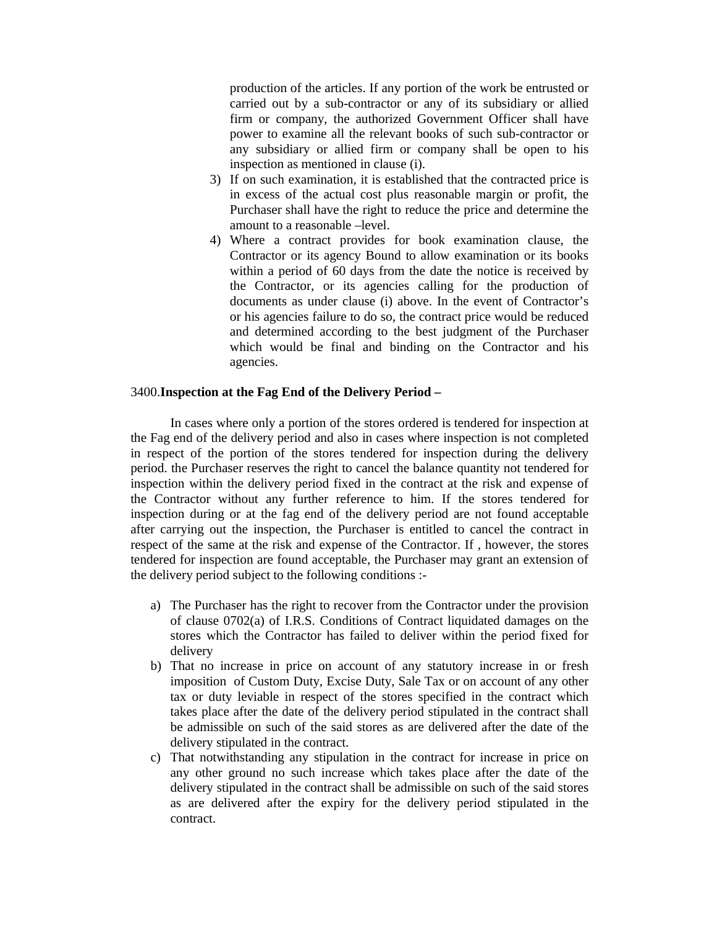production of the articles. If any portion of the work be entrusted or carried out by a sub-contractor or any of its subsidiary or allied firm or company, the authorized Government Officer shall have power to examine all the relevant books of such sub-contractor or any subsidiary or allied firm or company shall be open to his inspection as mentioned in clause (i).

- 3) If on such examination, it is established that the contracted price is in excess of the actual cost plus reasonable margin or profit, the Purchaser shall have the right to reduce the price and determine the amount to a reasonable –level.
- 4) Where a contract provides for book examination clause, the Contractor or its agency Bound to allow examination or its books within a period of 60 days from the date the notice is received by the Contractor, or its agencies calling for the production of documents as under clause (i) above. In the event of Contractor's or his agencies failure to do so, the contract price would be reduced and determined according to the best judgment of the Purchaser which would be final and binding on the Contractor and his agencies.

# 3400.**Inspection at the Fag End of the Delivery Period –**

In cases where only a portion of the stores ordered is tendered for inspection at the Fag end of the delivery period and also in cases where inspection is not completed in respect of the portion of the stores tendered for inspection during the delivery period. the Purchaser reserves the right to cancel the balance quantity not tendered for inspection within the delivery period fixed in the contract at the risk and expense of the Contractor without any further reference to him. If the stores tendered for inspection during or at the fag end of the delivery period are not found acceptable after carrying out the inspection, the Purchaser is entitled to cancel the contract in respect of the same at the risk and expense of the Contractor. If , however, the stores tendered for inspection are found acceptable, the Purchaser may grant an extension of the delivery period subject to the following conditions :-

- a) The Purchaser has the right to recover from the Contractor under the provision of clause 0702(a) of I.R.S. Conditions of Contract liquidated damages on the stores which the Contractor has failed to deliver within the period fixed for delivery
- b) That no increase in price on account of any statutory increase in or fresh imposition of Custom Duty, Excise Duty, Sale Tax or on account of any other tax or duty leviable in respect of the stores specified in the contract which takes place after the date of the delivery period stipulated in the contract shall be admissible on such of the said stores as are delivered after the date of the delivery stipulated in the contract.
- c) That notwithstanding any stipulation in the contract for increase in price on any other ground no such increase which takes place after the date of the delivery stipulated in the contract shall be admissible on such of the said stores as are delivered after the expiry for the delivery period stipulated in the contract.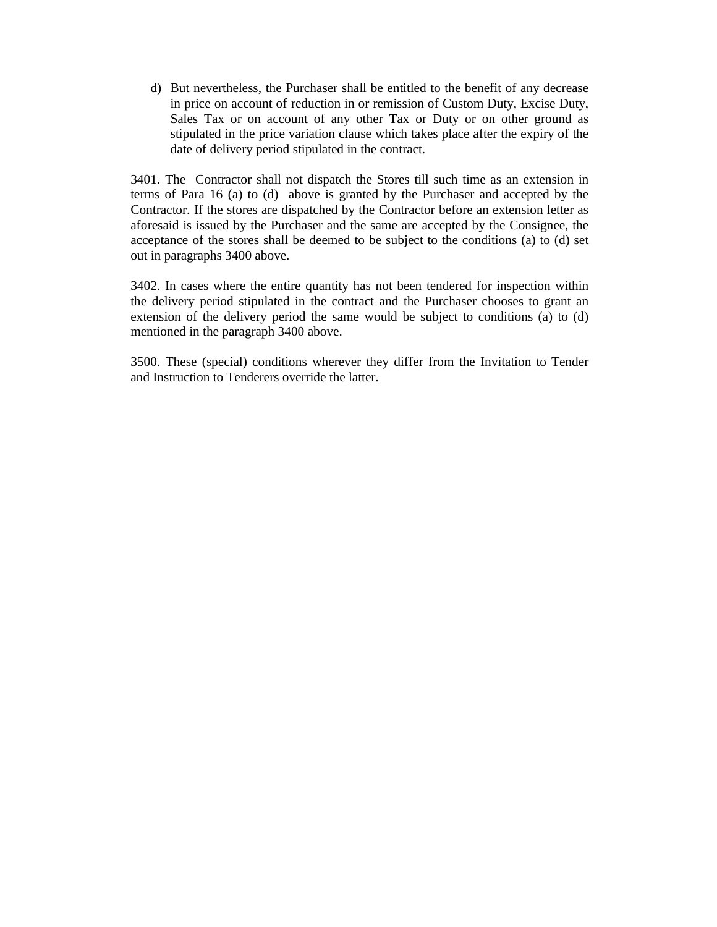d) But nevertheless, the Purchaser shall be entitled to the benefit of any decrease in price on account of reduction in or remission of Custom Duty, Excise Duty, Sales Tax or on account of any other Tax or Duty or on other ground as stipulated in the price variation clause which takes place after the expiry of the date of delivery period stipulated in the contract.

3401. The Contractor shall not dispatch the Stores till such time as an extension in terms of Para 16 (a) to (d) above is granted by the Purchaser and accepted by the Contractor. If the stores are dispatched by the Contractor before an extension letter as aforesaid is issued by the Purchaser and the same are accepted by the Consignee, the acceptance of the stores shall be deemed to be subject to the conditions (a) to (d) set out in paragraphs 3400 above.

3402. In cases where the entire quantity has not been tendered for inspection within the delivery period stipulated in the contract and the Purchaser chooses to grant an extension of the delivery period the same would be subject to conditions (a) to (d) mentioned in the paragraph 3400 above.

3500. These (special) conditions wherever they differ from the Invitation to Tender and Instruction to Tenderers override the latter.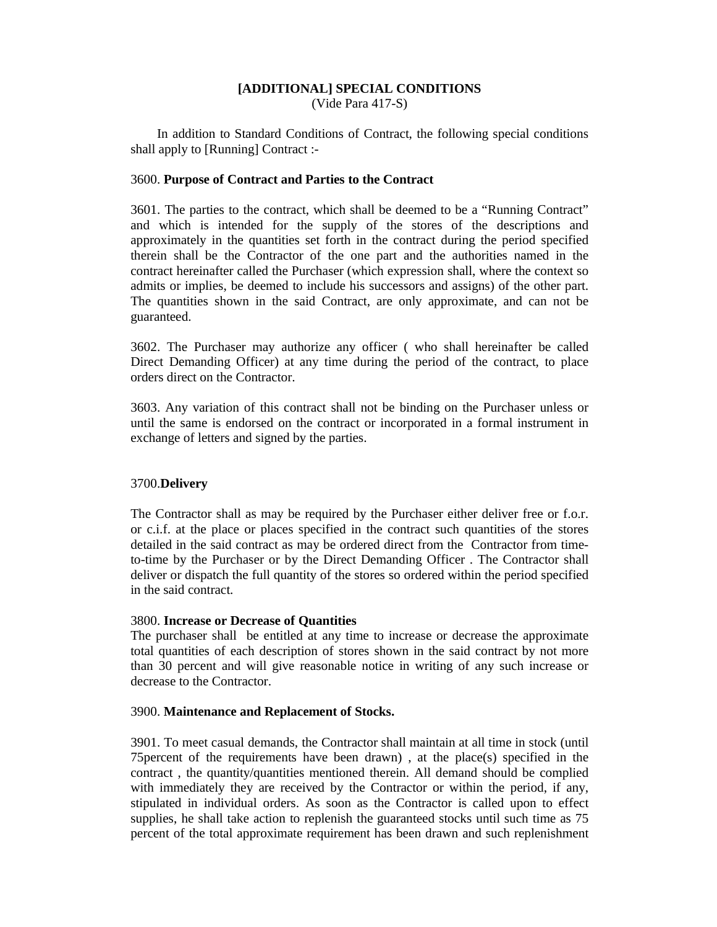# **[ADDITIONAL] SPECIAL CONDITIONS**

(Vide Para 417-S)

In addition to Standard Conditions of Contract, the following special conditions shall apply to [Running] Contract :-

### 3600. **Purpose of Contract and Parties to the Contract**

3601. The parties to the contract, which shall be deemed to be a "Running Contract" and which is intended for the supply of the stores of the descriptions and approximately in the quantities set forth in the contract during the period specified therein shall be the Contractor of the one part and the authorities named in the contract hereinafter called the Purchaser (which expression shall, where the context so admits or implies, be deemed to include his successors and assigns) of the other part. The quantities shown in the said Contract, are only approximate, and can not be guaranteed.

3602. The Purchaser may authorize any officer ( who shall hereinafter be called Direct Demanding Officer) at any time during the period of the contract, to place orders direct on the Contractor.

3603. Any variation of this contract shall not be binding on the Purchaser unless or until the same is endorsed on the contract or incorporated in a formal instrument in exchange of letters and signed by the parties.

# 3700.**Delivery**

The Contractor shall as may be required by the Purchaser either deliver free or f.o.r. or c.i.f. at the place or places specified in the contract such quantities of the stores detailed in the said contract as may be ordered direct from the Contractor from timeto-time by the Purchaser or by the Direct Demanding Officer . The Contractor shall deliver or dispatch the full quantity of the stores so ordered within the period specified in the said contract.

#### 3800. **Increase or Decrease of Quantities**

The purchaser shall be entitled at any time to increase or decrease the approximate total quantities of each description of stores shown in the said contract by not more than 30 percent and will give reasonable notice in writing of any such increase or decrease to the Contractor.

#### 3900. **Maintenance and Replacement of Stocks.**

3901. To meet casual demands, the Contractor shall maintain at all time in stock (until 75percent of the requirements have been drawn) , at the place(s) specified in the contract , the quantity/quantities mentioned therein. All demand should be complied with immediately they are received by the Contractor or within the period, if any, stipulated in individual orders. As soon as the Contractor is called upon to effect supplies, he shall take action to replenish the guaranteed stocks until such time as 75 percent of the total approximate requirement has been drawn and such replenishment